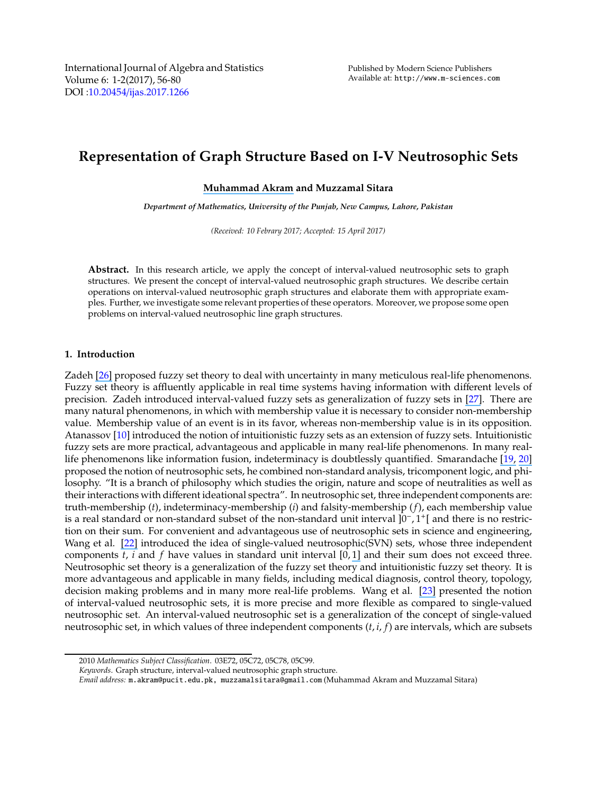# **Representation of Graph Structure Based on I-V Neutrosophic Sets**

#### **[Muhammad Akram](https://www.researchgate.net/profile/Muhammad_Akram34?el=1_x_100&enrichId=rgreq-2f2daf30a3dd4624747e9a727df241b0-XXX&enrichSource=Y292ZXJQYWdlOzMxNjY4NDI5OTtBUzo0OTI2OTkzMTgwMDE2NjVAMTQ5NDQ4MDA3OTk1MA==) and Muzzamal Sitara**

*Department of Mathematics, University of the Punjab, New Campus, Lahore, Pakistan*

*(Received: 10 Febrary 2017; Accepted: 15 April 2017)*

**Abstract.** In this research article, we apply the concept of interval-valued neutrosophic sets to graph structures. We present the concept of interval-valued neutrosophic graph structures. We describe certain operations on interval-valued neutrosophic graph structures and elaborate them with appropriate examples. Further, we investigate some relevant properties of these operators. Moreover, we propose some open problems on interval-valued neutrosophic line graph structures.

#### **1. Introduction**

Zadeh [\[26\]](https://www.researchgate.net/publication/287711963_Fuzzy_sets_information_and_control?el=1_x_8&enrichId=rgreq-2f2daf30a3dd4624747e9a727df241b0-XXX&enrichSource=Y292ZXJQYWdlOzMxNjY4NDI5OTtBUzo0OTI2OTkzMTgwMDE2NjVAMTQ5NDQ4MDA3OTk1MA==) proposed fuzzy set theory to deal with uncertainty in many meticulous real-life phenomenons. Fuzzy set theory is affluently applicable in real time systems having information with different levels of precision. Zadeh introduced interval-valued fuzzy sets as generalization of fuzzy sets in [\[27\]](https://www.researchgate.net/publication/220312634_The_concept_of_a_linguistic_variable_and_its_application_to_approximate_reasoning-II?el=1_x_8&enrichId=rgreq-2f2daf30a3dd4624747e9a727df241b0-XXX&enrichSource=Y292ZXJQYWdlOzMxNjY4NDI5OTtBUzo0OTI2OTkzMTgwMDE2NjVAMTQ5NDQ4MDA3OTk1MA==). There are many natural phenomenons, in which with membership value it is necessary to consider non-membership value. Membership value of an event is in its favor, whereas non-membership value is in its opposition. Atanassov [\[10](#page-23-0)] introduced the notion of intuitionistic fuzzy sets as an extension of fuzzy sets. Intuitionistic fuzzy sets are more practical, advantageous and applicable in many real-life phenomenons. In many reallife phenomenons like information fusion, indeterminacy is doubtlessly quantified. Smarandache [\[19,](https://www.researchgate.net/publication/308949256_A_UNIFYING_FIELD_IN_LOGICS_NEUTROSOPHIC_LOGIC_NEUTROSOPHY_NEUTROSOPHIC_SET_NEUTROSOPHIC_PROBABILITY_AND_STATISTICS?el=1_x_8&enrichId=rgreq-2f2daf30a3dd4624747e9a727df241b0-XXX&enrichSource=Y292ZXJQYWdlOzMxNjY4NDI5OTtBUzo0OTI2OTkzMTgwMDE2NjVAMTQ5NDQ4MDA3OTk1MA==) [20\]](https://www.researchgate.net/publication/221414250_Neutrosophic_Set_--_A_Generalization_of_the_Intuitionistic_Fuzzy_Set?el=1_x_8&enrichId=rgreq-2f2daf30a3dd4624747e9a727df241b0-XXX&enrichSource=Y292ZXJQYWdlOzMxNjY4NDI5OTtBUzo0OTI2OTkzMTgwMDE2NjVAMTQ5NDQ4MDA3OTk1MA==) proposed the notion of neutrosophic sets, he combined non-standard analysis, tricomponent logic, and philosophy. "It is a branch of philosophy which studies the origin, nature and scope of neutralities as well as their interactions with different ideational spectra". In neutrosophic set, three independent components are: truth-membership (*t*), indeterminacy-membership (*i*) and falsity-membership (*f*), each membership value is a real standard or non-standard subset of the non-standard unit interval ]0<sup>−</sup> , 1 + [ and there is no restriction on their sum. For convenient and advantageous use of neutrosophic sets in science and engineering, Wang et al. [\[22\]](https://www.researchgate.net/publication/262034557_Single_Valued_Neutrosophic_Sets?el=1_x_8&enrichId=rgreq-2f2daf30a3dd4624747e9a727df241b0-XXX&enrichSource=Y292ZXJQYWdlOzMxNjY4NDI5OTtBUzo0OTI2OTkzMTgwMDE2NjVAMTQ5NDQ4MDA3OTk1MA==) introduced the idea of single-valued neutrosophic(SVN) sets, whose three independent components *t*, *i* and *f* have values in standard unit interval [0, [1\]](https://www.researchgate.net/publication/225510417_Interval-valued_fuzzy_line_graphs?el=1_x_8&enrichId=rgreq-2f2daf30a3dd4624747e9a727df241b0-XXX&enrichSource=Y292ZXJQYWdlOzMxNjY4NDI5OTtBUzo0OTI2OTkzMTgwMDE2NjVAMTQ5NDQ4MDA3OTk1MA==) and their sum does not exceed three. Neutrosophic set theory is a generalization of the fuzzy set theory and intuitionistic fuzzy set theory. It is more advantageous and applicable in many fields, including medical diagnosis, control theory, topology, decision making problems and in many more real-life problems. Wang et al. [\[23\]](https://www.researchgate.net/publication/4196552_Truth-value_based_interval_neutrosophic_sets?el=1_x_8&enrichId=rgreq-2f2daf30a3dd4624747e9a727df241b0-XXX&enrichSource=Y292ZXJQYWdlOzMxNjY4NDI5OTtBUzo0OTI2OTkzMTgwMDE2NjVAMTQ5NDQ4MDA3OTk1MA==) presented the notion of interval-valued neutrosophic sets, it is more precise and more flexible as compared to single-valued neutrosophic set. An interval-valued neutrosophic set is a generalization of the concept of single-valued neutrosophic set, in which values of three independent components (*t*, *i*, *f*) are intervals, which are subsets

<sup>2010</sup> *Mathematics Subject Classification*. 03E72, 05C72, 05C78, 05C99.

*Keywords*. Graph structure, interval-valued neutrosophic graph structure.

*Email address:* m.akram@pucit.edu.pk, muzzamalsitara@gmail.com (Muhammad Akram and Muzzamal Sitara)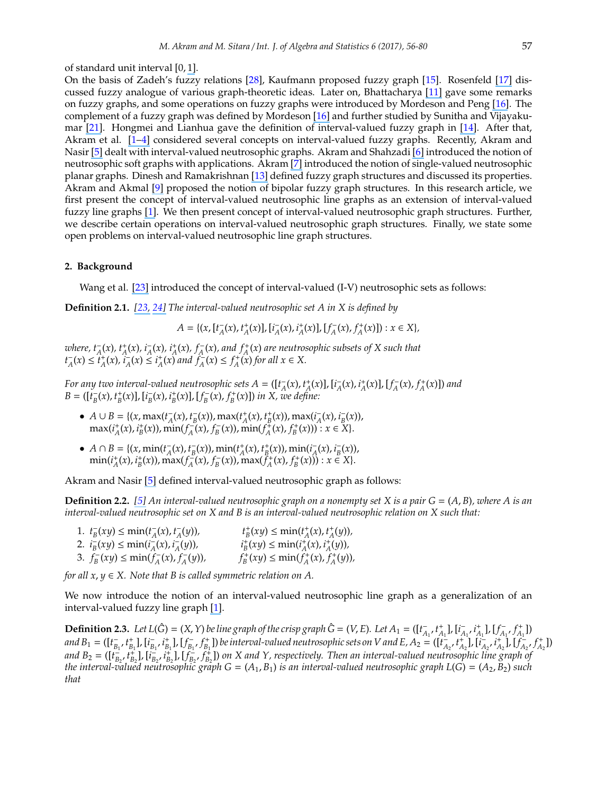#### of standard unit interval [0, [1\]](https://www.researchgate.net/publication/225510417_Interval-valued_fuzzy_line_graphs?el=1_x_8&enrichId=rgreq-2f2daf30a3dd4624747e9a727df241b0-XXX&enrichSource=Y292ZXJQYWdlOzMxNjY4NDI5OTtBUzo0OTI2OTkzMTgwMDE2NjVAMTQ5NDQ4MDA3OTk1MA==).

On the basis of Zadeh's fuzzy relations [\[28](#page-24-6)], Kaufmann proposed fuzzy graph [\[15\]](#page-24-7). Rosenfeld [\[17\]](https://www.researchgate.net/publication/285264036_Fuzzy_Graphs_Fuzzy_Sets_and_their_Applications?el=1_x_8&enrichId=rgreq-2f2daf30a3dd4624747e9a727df241b0-XXX&enrichSource=Y292ZXJQYWdlOzMxNjY4NDI5OTtBUzo0OTI2OTkzMTgwMDE2NjVAMTQ5NDQ4MDA3OTk1MA==) discussed fuzzy analogue of various graph-theoretic ideas. Later on, Bhattacharya [\[11\]](https://www.researchgate.net/publication/242794179_Some_remarks_on_fuzzy_graphs?el=1_x_8&enrichId=rgreq-2f2daf30a3dd4624747e9a727df241b0-XXX&enrichSource=Y292ZXJQYWdlOzMxNjY4NDI5OTtBUzo0OTI2OTkzMTgwMDE2NjVAMTQ5NDQ4MDA3OTk1MA==) gave some remarks on fuzzy graphs, and some operations on fuzzy graphs were introduced by Mordeson and Peng [\[16\]](https://www.researchgate.net/publication/220314865_Operations_on_Fuzzy_Graphs?el=1_x_8&enrichId=rgreq-2f2daf30a3dd4624747e9a727df241b0-XXX&enrichSource=Y292ZXJQYWdlOzMxNjY4NDI5OTtBUzo0OTI2OTkzMTgwMDE2NjVAMTQ5NDQ4MDA3OTk1MA==). The complement of a fuzzy graph was defined by Mordeson [\[16\]](https://www.researchgate.net/publication/220314865_Operations_on_Fuzzy_Graphs?el=1_x_8&enrichId=rgreq-2f2daf30a3dd4624747e9a727df241b0-XXX&enrichSource=Y292ZXJQYWdlOzMxNjY4NDI5OTtBUzo0OTI2OTkzMTgwMDE2NjVAMTQ5NDQ4MDA3OTk1MA==) and further studied by Sunitha and Vijayakumar [\[21\]](https://www.researchgate.net/publication/264994797_Complement_of_a_fuzzy_graph?el=1_x_8&enrichId=rgreq-2f2daf30a3dd4624747e9a727df241b0-XXX&enrichSource=Y292ZXJQYWdlOzMxNjY4NDI5OTtBUzo0OTI2OTkzMTgwMDE2NjVAMTQ5NDQ4MDA3OTk1MA==). Hongmei and Lianhua gave the definition of interval-valued fuzzy graph in [\[14\]](https://www.researchgate.net/publication/224580256_Interval-valued_Fuzzy_Subsemigroups_and_Subgroups_Associated_by_Interval-valued_Fuzzy_Graphs?el=1_x_8&enrichId=rgreq-2f2daf30a3dd4624747e9a727df241b0-XXX&enrichSource=Y292ZXJQYWdlOzMxNjY4NDI5OTtBUzo0OTI2OTkzMTgwMDE2NjVAMTQ5NDQ4MDA3OTk1MA==). After that, Akram et al. [\[1](https://www.researchgate.net/publication/225510417_Interval-valued_fuzzy_line_graphs?el=1_x_8&enrichId=rgreq-2f2daf30a3dd4624747e9a727df241b0-XXX&enrichSource=Y292ZXJQYWdlOzMxNjY4NDI5OTtBUzo0OTI2OTkzMTgwMDE2NjVAMTQ5NDQ4MDA3OTk1MA==)[–](https://www.researchgate.net/publication/258399842_Certain_Types_of_Interval-Valued_Fuzzy_Graphs?el=1_x_8&enrichId=rgreq-2f2daf30a3dd4624747e9a727df241b0-XXX&enrichSource=Y292ZXJQYWdlOzMxNjY4NDI5OTtBUzo0OTI2OTkzMTgwMDE2NjVAMTQ5NDQ4MDA3OTk1MA==)[4\]](https://www.researchgate.net/publication/282712255_Self_centered_interval-valued_fuzzy_graphs?el=1_x_8&enrichId=rgreq-2f2daf30a3dd4624747e9a727df241b0-XXX&enrichSource=Y292ZXJQYWdlOzMxNjY4NDI5OTtBUzo0OTI2OTkzMTgwMDE2NjVAMTQ5NDQ4MDA3OTk1MA==) considered several concepts on interval-valued fuzzy graphs. Recently, Akram and Nasir [\[5\]](https://www.researchgate.net/publication/314469945_Concepts_of_Interval-Valued_Neutrosophic_Graphs?el=1_x_8&enrichId=rgreq-2f2daf30a3dd4624747e9a727df241b0-XXX&enrichSource=Y292ZXJQYWdlOzMxNjY4NDI5OTtBUzo0OTI2OTkzMTgwMDE2NjVAMTQ5NDQ4MDA3OTk1MA==) dealt with interval-valued neutrosophic graphs. Akram and Shahzadi [\[6\]](https://www.researchgate.net/publication/305920288_Neutrosophic_soft_graphs_with_application?el=1_x_8&enrichId=rgreq-2f2daf30a3dd4624747e9a727df241b0-XXX&enrichSource=Y292ZXJQYWdlOzMxNjY4NDI5OTtBUzo0OTI2OTkzMTgwMDE2NjVAMTQ5NDQ4MDA3OTk1MA==) introduced the notion of neutrosophic soft graphs with applications. Akram [\[7\]](https://www.researchgate.net/publication/311743641_Single-Valued_Neutrosophic_Planar_Graphs?el=1_x_8&enrichId=rgreq-2f2daf30a3dd4624747e9a727df241b0-XXX&enrichSource=Y292ZXJQYWdlOzMxNjY4NDI5OTtBUzo0OTI2OTkzMTgwMDE2NjVAMTQ5NDQ4MDA3OTk1MA==) introduced the notion of single-valued neutrosophic planar graphs. Dinesh and Ramakrishnan [\[13\]](https://www.researchgate.net/publication/267127400_On_generalised_fuzzy_graph_structures?el=1_x_8&enrichId=rgreq-2f2daf30a3dd4624747e9a727df241b0-XXX&enrichSource=Y292ZXJQYWdlOzMxNjY4NDI5OTtBUzo0OTI2OTkzMTgwMDE2NjVAMTQ5NDQ4MDA3OTk1MA==) defined fuzzy graph structures and discussed its properties. Akram and Akmal [\[9\]](https://www.researchgate.net/publication/294139615_Application_of_Bipolar_Fuzzy_Sets_in_Graph_Structures?el=1_x_8&enrichId=rgreq-2f2daf30a3dd4624747e9a727df241b0-XXX&enrichSource=Y292ZXJQYWdlOzMxNjY4NDI5OTtBUzo0OTI2OTkzMTgwMDE2NjVAMTQ5NDQ4MDA3OTk1MA==) proposed the notion of bipolar fuzzy graph structures. In this research article, we first present the concept of interval-valued neutrosophic line graphs as an extension of interval-valued fuzzy line graphs [\[1\]](https://www.researchgate.net/publication/225510417_Interval-valued_fuzzy_line_graphs?el=1_x_8&enrichId=rgreq-2f2daf30a3dd4624747e9a727df241b0-XXX&enrichSource=Y292ZXJQYWdlOzMxNjY4NDI5OTtBUzo0OTI2OTkzMTgwMDE2NjVAMTQ5NDQ4MDA3OTk1MA==). We then present concept of interval-valued neutrosophic graph structures. Further, we describe certain operations on interval-valued neutrosophic graph structures. Finally, we state some open problems on interval-valued neutrosophic line graph structures.

#### **2. Background**

Wang et al. [\[23\]](https://www.researchgate.net/publication/4196552_Truth-value_based_interval_neutrosophic_sets?el=1_x_8&enrichId=rgreq-2f2daf30a3dd4624747e9a727df241b0-XXX&enrichSource=Y292ZXJQYWdlOzMxNjY4NDI5OTtBUzo0OTI2OTkzMTgwMDE2NjVAMTQ5NDQ4MDA3OTk1MA==) introduced the concept of interval-valued (I-V) neutrosophic sets as follows:

**Definition 2.1.** *[\[23,](https://www.researchgate.net/publication/4196552_Truth-value_based_interval_neutrosophic_sets?el=1_x_8&enrichId=rgreq-2f2daf30a3dd4624747e9a727df241b0-XXX&enrichSource=Y292ZXJQYWdlOzMxNjY4NDI5OTtBUzo0OTI2OTkzMTgwMDE2NjVAMTQ5NDQ4MDA3OTk1MA==) [24\]](https://www.researchgate.net/publication/308949183_Interval_Neutrosophic_Sets_and_Logic_Theory_and_Applications_in_Computing?el=1_x_8&enrichId=rgreq-2f2daf30a3dd4624747e9a727df241b0-XXX&enrichSource=Y292ZXJQYWdlOzMxNjY4NDI5OTtBUzo0OTI2OTkzMTgwMDE2NjVAMTQ5NDQ4MDA3OTk1MA==) The interval-valued neutrosophic set A in X is defined by*

 $A = \{(x, [t_A^-(x), t_A^+(x)], [t_A^-(x), t_A^+(x)], [f_A^-(x), f_A^+(x)]) : x \in X\},\$ 

where,  $t_A^-(x)$ ,  $t_A^+(x)$ ,  $i_A^-(x)$ ,  $i_A^+(x)$ ,  $f_A^-(x)$ , and  $f_A^+(x)$  are neutrosophic subsets of X such that  $t_A^-(x) \le t_A^+(x)$ ,  $\hat{i}_A^-(x) \le t_A^+(x)$  and  $\hat{f}_A^-(x) \le t_A^+(x)$  for all  $x \in X$ .

For any two interval-valued neutrosophic sets  $A = ([t_A^-(x), t_A^+(x)],[i_A^-(x), i_A^+(x)] , [f_A^-(x), f_A^+(x)])$  and B =  $([t_B^-(x), t_B^+(x)], [t_B^-(x), t_B^+(x)], [f_B^-(x), f_B^+(x)])$  in X, we define:

- $A \cup B = \{(x, \max(t_A^-(x), t_B^-(x)), \max(t_A^+(x), t_B^+(x)), \max(t_A^-(x), t_B^-(x))),$  $\max(i_A^+(x), i_B^+(x))$ ,  $\min(f_A^-(x), f_B^-(x))$ ,  $\min(f_A^+(x), f_B^+(x)))$ :  $x \in X$ .
- $A \cap B = \{ (x, \min(t_A^{-}(x), t_B^{-}(x)), \min(t_A^{+}(x), t_B^{+}(x)), \min(t_A^{-}(x), t_B^{-}(x))),$  $\min(i_A^+(x), i_B^+(x))$ ,  $\max(f_A^-(x), f_B^-(x))$ ,  $\max(\tilde{f}_A^+(x), f_B^+(x))) : x \in X$ .

Akram and Nasir [\[5\]](https://www.researchgate.net/publication/314469945_Concepts_of_Interval-Valued_Neutrosophic_Graphs?el=1_x_8&enrichId=rgreq-2f2daf30a3dd4624747e9a727df241b0-XXX&enrichSource=Y292ZXJQYWdlOzMxNjY4NDI5OTtBUzo0OTI2OTkzMTgwMDE2NjVAMTQ5NDQ4MDA3OTk1MA==) defined interval-valued neutrosophic graph as follows:

**Definition 2.2.** [\[5\]](https://www.researchgate.net/publication/314469945_Concepts_of_Interval-Valued_Neutrosophic_Graphs?el=1_x_8&enrichId=rgreq-2f2daf30a3dd4624747e9a727df241b0-XXX&enrichSource=Y292ZXJQYWdlOzMxNjY4NDI5OTtBUzo0OTI2OTkzMTgwMDE2NjVAMTQ5NDQ4MDA3OTk1MA==) An interval-valued neutrosophic graph on a nonempty set X is a pair  $G = (A, B)$ , where A is an *interval-valued neutrosophic set on X and B is an interval-valued neutrosophic relation on X such that:*

1.  $t_B^-(xy) \le \min(t_A^-(x), t_A^-(y)),$   $t_B^+(xy) \le \min(t_A^+(x), t_A^+(y)),$ 2.  $i_B^-(xy) \le \min(i_A^-(x), i_A^-(y))$ ,  $i_B^+(xy) \le \min(i_A^+(x), i_A^+(y))$ , 3.  $f_B^-(xy) \le \min(f_A^-(x), f_A^-(y)),$   $f_B^+(xy) \le \min(f_A^+(x), f_A^+(y)),$ 

*for all*  $x, y \in X$ . Note that B is called symmetric relation on A.

<span id="page-1-0"></span>We now introduce the notion of an interval-valued neutrosophic line graph as a generalization of an interval-valued fuzzy line graph [\[1\]](https://www.researchgate.net/publication/225510417_Interval-valued_fuzzy_line_graphs?el=1_x_8&enrichId=rgreq-2f2daf30a3dd4624747e9a727df241b0-XXX&enrichSource=Y292ZXJQYWdlOzMxNjY4NDI5OTtBUzo0OTI2OTkzMTgwMDE2NjVAMTQ5NDQ4MDA3OTk1MA==).

**Definition 2.3.** Let  $L(\hat{G}) = (X, Y)$  be line graph of the crisp graph  $\hat{G} = (V, E)$ . Let  $A_1 = (\begin{bmatrix} t_{A_1}^-, t_{A_1}^+, l_{A_1}^-, t_{A_1}^+, l_{A_1}^-, t_{A_1}^+ \end{bmatrix})$ and  $B_1 = ([t_{B_1}^-, t_{B_1}^+], [i_{B_1}^-, i_{B_1}^+], [f_{B_1}^-, f_{B_1}^+])$  be interval-valued neutrosophic sets on V and E,  $A_2 = ([t_{A_2}^-, t_{A_2}^+], [i_{A_2}^-, i_{A_2}^+], [f_{A_2}^-, f_{A_2}^+])$ and  $B_2 = ([t_{B_2}^-, t_{B_2}^+], [i_{B_2}^-, i_{B_2}^+], [f_{B_2}^-, f_{B_2}^+])$  on X and Y, respectively. Then an interval-valued neutrosophic line graph of *the interval-valued neutrosophic graph G* = (*A*1, *B*1) *is an interval-valued neutrosophic graph L*(*G*) = (*A*2, *B*2) *such that*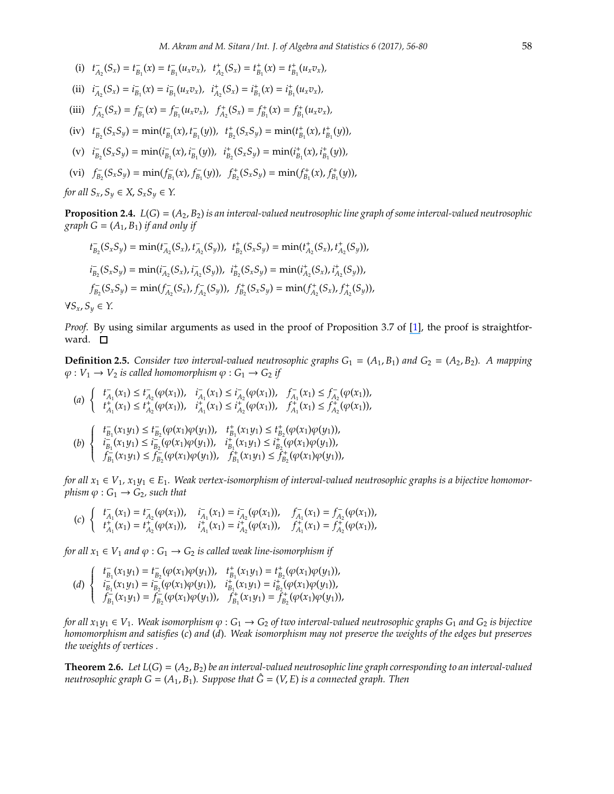- (i)  $t_{A_2}^-(S_x) = t_{B_1}^-(x) = t_{B_1}^-(u_x v_x), t_{A_2}^+(S_x) = t_{B_1}^+(x) = t_{B_1}^+(u_x v_x),$
- (ii)  $i_{A_2}^-(S_x) = i_{B_1}^-(x) = i_{B_1}^-(u_x v_x)$ ,  $i_{A_2}^+(S_x) = i_{B_1}^+(x) = i_{B_1}^+(u_x v_x)$ ,
- (iii)  $f_{A_2}^-(S_x) = f_{B_1}^-(x) = f_{B_1}^-(u_x v_x)$ ,  $f_{A_2}^+(S_x) = f_{B_1}^+(x) = f_{B_1}^+(u_x v_x)$ ,
- (iv)  $t_{B_2}^-(S_xS_y) = \min(t_{B_1}^-(x), t_{B_1}^-(y)), t_{B_2}^+(S_xS_y) = \min(t_{B_1}^+(x), t_{B_1}^+(y)),$
- (v)  $i_{B_2}^-(S_xS_y) = \min(i_{B_1}^-(x), i_{B_1}^-(y)), i_{B_2}^+(S_xS_y) = \min(i_{B_1}^+(x), i_{B_1}^+(y)),$
- (vi)  $f_{B_2}^-(S_xS_y) = \min(f_{B_1}^-(x), f_{B_1}^-(y)), f_{B_2}^+(S_xS_y) = \min(f_{B_1}^+(x), f_{B_1}^+(y)),$

*for all*  $S_x$ ,  $S_y \in X$ ,  $S_x S_y \in Y$ .

**Proposition 2.4.**  $L(G) = (A_2, B_2)$  *is an interval-valued neutrosophic line graph of some interval-valued neutrosophic graph*  $G = (A_1, B_1)$  *if and only if* 

$$
t_{B_2}^-(S_xS_y) = \min(t_{A_2}^-(S_x), t_{A_2}^-(S_y)), \ t_{B_2}^+(S_xS_y) = \min(t_{A_2}^+(S_x), t_{A_2}^+(S_y)),
$$
  
\n
$$
i_{B_2}^-(S_xS_y) = \min(i_{A_2}^-(S_x), i_{A_2}^-(S_y)), \ t_{B_2}^+(S_xS_y) = \min(i_{A_2}^+(S_x), i_{A_2}^+(S_y)),
$$
  
\n
$$
f_{B_2}^-(S_xS_y) = \min(f_{A_2}^-(S_x), f_{A_2}^-(S_y)), \ f_{B_2}^+(S_xS_y) = \min(f_{A_2}^+(S_x), f_{A_2}^+(S_y)),
$$
  
\n
$$
f_{B_2}^-(S_xS_y) = \min(f_{A_2}^-(S_x), f_{A_2}^-(S_y)), \ f_{B_2}^+(S_xS_y) = \min(f_{A_2}^+(S_x), f_{A_2}^+(S_y)),
$$

 $\forall S_x, S_y \in Y$ .

*Proof.* By using similar arguments as used in the proof of Proposition 3.7 of [\[1\]](https://www.researchgate.net/publication/225510417_Interval-valued_fuzzy_line_graphs?el=1_x_8&enrichId=rgreq-2f2daf30a3dd4624747e9a727df241b0-XXX&enrichSource=Y292ZXJQYWdlOzMxNjY4NDI5OTtBUzo0OTI2OTkzMTgwMDE2NjVAMTQ5NDQ4MDA3OTk1MA==), the proof is straightforward.  $\Box$ 

**Definition 2.5.** *Consider two interval-valued neutrosophic graphs*  $G_1 = (A_1, B_1)$  *and*  $G_2 = (A_2, B_2)$ *. A mapping*  $\varphi: V_1 \to V_2$  *is called homomorphism*  $\varphi: G_1 \to G_2$  *if* 

$$
(a) \begin{cases} t_{A_1}^-(x_1) \le t_{A_2}^-(\varphi(x_1)), \quad i_{A_1}^-(x_1) \le i_{A_2}^-(\varphi(x_1)), \quad f_{A_1}^-(x_1) \le f_{A_2}^-(\varphi(x_1)), \\ t_{A_1}^+(x_1) \le t_{A_2}^+( \varphi(x_1)), \quad i_{A_1}^+(x_1) \le t_{A_2}^+( \varphi(x_1)), \quad f_{A_1}^+(x_1) \le f_{A_2}^+(\varphi(x_1)), \\ (b) \begin{cases} t_{B_1}^-(x_1y_1) \le t_{B_2}^-(\varphi(x_1)\varphi(y_1)), \quad t_{B_1}^+(x_1y_1) \le t_{B_2}^+( \varphi(x_1)\varphi(y_1)), \\ i_{B_1}^-(x_1y_1) \le t_{B_2}^-(\varphi(x_1)\varphi(y_1)), \quad i_{B_1}^+(x_1y_1) \le t_{B_2}^+( \varphi(x_1)\varphi(y_1)), \\ f_{B_1}^-(x_1y_1) \le f_{B_2}^-(\varphi(x_1)\varphi(y_1)), \quad f_{B_1}^+(x_1y_1) \le f_{B_2}^+( \varphi(x_1)\varphi(y_1)), \end{cases}
$$

*for all*  $x_1 \in V_1$ ,  $x_1y_1 \in E_1$ . Weak vertex-isomorphism of interval-valued neutrosophic graphs is a bijective homomor*phism*  $\varphi$  :  $G_1 \rightarrow G_2$ *, such that* 

$$
(c)\ \left\{\begin{array}{lll} t_{A_1}^-(x_1)=t_{A_2}^-(\varphi(x_1)), & i_{A_1}^-(x_1)=i_{A_2}^-(\varphi(x_1)), & f_{A_1}^-(x_1)=f_{A_2}^-(\varphi(x_1)),\\ t_{A_1}^+(x_1)=t_{A_2}^+(\varphi(x_1)), & i_{A_1}^+(x_1)=i_{A_2}^+(\varphi(x_1)), & f_{A_1}^+(x_1)=f_{A_2}^+(\varphi(x_1)),\end{array}\right.
$$

*for all*  $x_1 \in V_1$  *and*  $\varphi : G_1 \to G_2$  *is called weak line-isomorphism if* 

$$
(d) \left\{ \begin{array}{ll} t_{B_1}^-(x_1y_1)=t_{B_2}^-(\varphi(x_1)\varphi(y_1)), & t_{B_1}^+(x_1y_1)=t_{B_2}^+(\varphi(x_1)\varphi(y_1)),\\ i_{B_1}^-(x_1y_1)=i_{B_2}^-(\varphi(x_1)\varphi(y_1)), & i_{B_1}^+(x_1y_1)=i_{B_2}^+(\varphi(x_1)\varphi(y_1)),\\ f_{B_1}^-(x_1y_1)=f_{B_2}^-(\varphi(x_1)\varphi(y_1)), & f_{B_1}^+(x_1y_1)=f_{B_2}^+(\varphi(x_1)\varphi(y_1)), \end{array} \right.
$$

*for all*  $x_1y_1 \in V_1$ . Weak isomorphism  $\varphi: G_1 \to G_2$  of two interval-valued neutrosophic graphs  $G_1$  and  $G_2$  is bijective *homomorphism and satisfies* (*c*) *and* (*d*)*. Weak isomorphism may not preserve the weights of the edges but preserves the weights of vertices .*

**Theorem 2.6.** Let  $L(G) = (A_2, B_2)$  be an interval-valued neutrosophic line graph corresponding to an interval-valued *neutrosophic graph*  $G = (A_1, B_1)$ *. Suppose that*  $\hat{G} = (V, E)$  *is a connected graph. Then*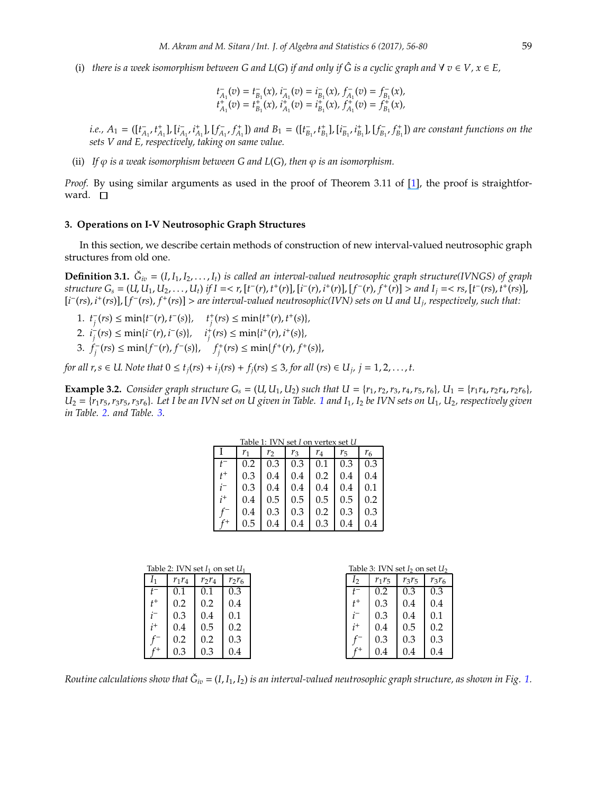(i) there is a week isomorphism between G and L(G) if and only if  $\hat{G}$  is a cyclic graph and  $\forall v \in V, x \in E$ ,

$$
\begin{aligned} t_{A_1}^-(v) &= t_{B_1}^-(x), \, i_{A_1}^-(v) = i_{B_1}^-(x), \, f_{A_1}^-(v) = f_{B_1}^-(x), \\ t_{A_1}^+(v) &= t_{B_1}^+(x), \, i_{A_1}^+(v) = i_{B_1}^+(x), \, f_{A_1}^+(v) = f_{B_1}^+(x), \end{aligned}
$$

*i.e.*,  $A_1 = ([t_{A_1}^-, t_{A_1}^+], [i_{A_1}^-, i_{A_1}^+], [f_{A_1}^-, f_{A_1}^+])$  and  $B_1 = ([t_{B_1}^-, t_{B_1}^+], [i_{B_1}^-, i_{B_1}^+], [f_{B_1}^-, f_{B_1}^+])$  are constant functions on the *sets V and E, respectively, taking on same value.*

(ii) *If*  $\varphi$  *is a weak isomorphism between G* and *L*(*G*)*, then*  $\varphi$  *is an isomorphism.* 

*Proof.* By using similar arguments as used in the proof of Theorem 3.11 of [\[1\]](https://www.researchgate.net/publication/225510417_Interval-valued_fuzzy_line_graphs?el=1_x_8&enrichId=rgreq-2f2daf30a3dd4624747e9a727df241b0-XXX&enrichSource=Y292ZXJQYWdlOzMxNjY4NDI5OTtBUzo0OTI2OTkzMTgwMDE2NjVAMTQ5NDQ4MDA3OTk1MA==), the proof is straightforward.  $\square$ 

#### **3. Operations on I-V Neutrosophic Graph Structures**

In this section, we describe certain methods of construction of new interval-valued neutrosophic graph structures from old one.

**Definition 3.1.**  $\check{G}_{iv} = (I, I_1, I_2, \ldots, I_t)$  is called an interval-valued neutrosophic graph structure(IVNGS) of graph structure  $G_s = (U, U_1, U_2, \ldots, U_t)$  if  $I = < r$ ,  $[t^-(r), t^+(r)]$ ,  $[i^-(r), i^+(r)]$ ,  $[f^-(r), f^+(r)] >$  and  $I_j = < rs$ ,  $[t^-(rs), t^+(rs)]$ , [*i* − (*rs*), *i* + (*rs*)], [*f* − (*rs*), *f* + (*rs*)] > *are interval-valued neutrosophic(IVN) sets on U and U<sup>j</sup> , respectively, such that:*

- $t_j^+(r_s) \le \min\{t^-(r), t^-(s)\}, \quad t_j^+(r_s) \le \min\{t^+(r), t^+(s)\},$
- $i_j^+(r) \leq \min\{i^-(r), i^-(s)\}, \quad i_j^+(r) \leq \min\{i^+(r), i^+(s)\},$
- 3. *f*<sub>*j*</sub><sup>−</sup>(*rs*) ≤ min{*f*<sup>−</sup>(*r*), *f*<sup>−</sup>(*s*)}, *f*<sub>*j*</sub><sup>+</sup>(*rs*) ≤ min{*f*<sup>+</sup>(*r*), *f*<sup>+</sup>(*s*)},

for all  $r, s \in U$ . Note that  $0 \le t_j(rs) + i_j(rs) + f_j(rs) \le 3$ , for all  $(rs) \in U_j$ ,  $j = 1, 2, ..., t$ .

**Example 3.2.** Consider graph structure  $G_s = (U, U_1, U_2)$  such that  $U = \{r_1, r_2, r_3, r_4, r_5, r_6\}$ ,  $U_1 = \{r_1r_4, r_2r_4, r_2r_6\}$ ,  $U_2 = \{r_1r_5, r_3r_5, r_3r_6\}$  $U_2 = \{r_1r_5, r_3r_5, r_3r_6\}$  $U_2 = \{r_1r_5, r_3r_5, r_3r_6\}$ . Let I be an IVN set on U given in Table. 1 and  $I_1$ ,  $I_2$  be IVN sets on  $U_1$ ,  $U_2$ , respectively given *in Table. [2.](#page-3-1) and Table. [3.](#page-3-2)*

<span id="page-3-2"></span><span id="page-3-0"></span>

| Table 1: IVN set I on vertex set U |                |     |         |       |         |         |  |  |  |  |  |  |
|------------------------------------|----------------|-----|---------|-------|---------|---------|--|--|--|--|--|--|
|                                    | r <sub>1</sub> | r   | $r_3$   | $r_4$ | $r_{5}$ | $r_{6}$ |  |  |  |  |  |  |
|                                    | 0.2            | 0.3 | 0.3     | 0.1   | 0.3     | 0.3     |  |  |  |  |  |  |
| $t^+$                              | 0.3            | 0.4 | 0.4     | 0.2   | 0.4     | 0.4     |  |  |  |  |  |  |
|                                    | 0.3            | 0.4 | 0.4     | 0.4   | 0.4     | 0.1     |  |  |  |  |  |  |
| i <sup>+</sup>                     | 0.4            | 0.5 | $0.5\,$ | 0.5   | 0.5     | 0.2     |  |  |  |  |  |  |
|                                    | 0.4            | 0.3 | 0.3     | 0.2   | 0.3     | 0.3     |  |  |  |  |  |  |
| $\mathcal{L}+$                     | 0.5            | 0.4 | 0.4     | 0.3   | 0.4     | 0.4     |  |  |  |  |  |  |

<span id="page-3-1"></span>

| Table 2: IVN set $I_1$ on set $U_1$ |          |          |          |       | Table 3: IVN set $I_2$ on set $U_2$ |          |          |          |
|-------------------------------------|----------|----------|----------|-------|-------------------------------------|----------|----------|----------|
| 11                                  | $r_1r_4$ | $r_2r_4$ | $r_2r_6$ | 12    |                                     | $r_1r_5$ | $r_3r_5$ | $r_3r_6$ |
| $t^-$                               | 0.1      | 0.1      | 0.3      |       |                                     | 0.2      | 0.3      | 0.3      |
| $t^+$                               | 0.2      | 0.2      | 0.4      | $t^+$ |                                     | 0.3      | 0.4      | 0.4      |
|                                     | 0.3      | 0.4      | 0.1      |       |                                     | 0.3      | 0.4      | 0.1      |
| $i^+$                               | 0.4      | 0.5      | 0.2      | $i^+$ |                                     | 0.4      | 0.5      | 0.2      |
|                                     | 0.2      | 0.2      | 0.3      |       |                                     | 0.3      | 0.3      | 0.3      |
|                                     | 0.3      | 0.3      | 0.4      |       |                                     | 0.4      | 0.4      | 0.4      |

Routine calculations show that  $\check{G}_{iv}$  = (I, I<sub>1</sub>, I<sub>2</sub>) is an interval-valued neutrosophic graph structure, as shown in Fig. [1.](#page-4-0)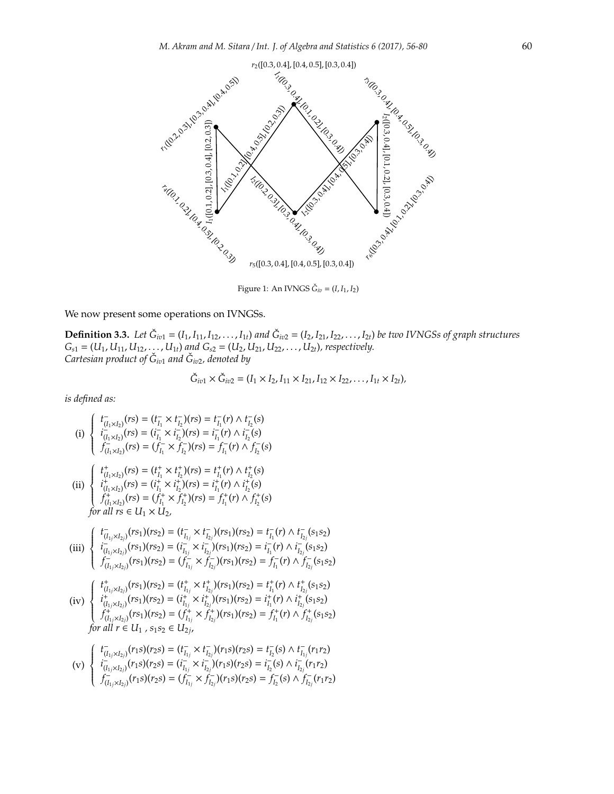

<span id="page-4-0"></span>Figure 1: An IVNGS  $\check{G}_{iv} = (I, I_1, I_2)$ 

We now present some operations on IVNGSs.

*G*ˇ

**Definition 3.3.** Let  $\check{G}_{iv1} = (I_1, I_{11}, I_{12}, \ldots, I_{1t})$  and  $\check{G}_{iv2} = (I_2, I_{21}, I_{22}, \ldots, I_{2t})$  be two IVNGSs of graph structures  $G_{s1} = (U_1, U_{11}, U_{12}, \ldots, U_{1t})$  and  $G_{s2} = (U_2, U_{21}, U_{22}, \ldots, U_{2t})$ , respectively. *Cartesian product of G*ˇ *iv*<sup>1</sup> *and G*ˇ *iv*2*, denoted by*

$$
\check{G}_{iv1} \times \check{G}_{iv2} = (I_1 \times I_2, I_{11} \times I_{21}, I_{12} \times I_{22}, \ldots, I_{1t} \times I_{2t}),
$$

(i) 
$$
\begin{cases}\nt_{(I_1 \times I_2)}(rs) = (t_{I_1}^r \times t_{I_2}^r)(rs) = t_{I_1}^r(r) \wedge t_{I_2}^r(s) \\
i_{(I_1 \times I_2)}(rs) = (i_{I_1}^r \times i_{I_2}^r)(rs) = i_{I_1}^r(r) \wedge i_{I_2}^r(s) \\
f_{(I_1 \times I_2)}(rs) = (f_{I_1}^r \times f_{I_2}^r)(rs) = f_{I_1}^r(r) \wedge f_{I_2}^r(s) \\
\text{(ii)} \begin{cases}\nt_{(I_1 \times I_2)}^r(rs) = (t_{I_1}^+ \times t_{I_2}^+)(rs) = t_{I_1}^+(r) \wedge t_{I_2}^+(s) \\
f_{(I_1 \times I_2)}^r(rs) = (t_{I_1}^+ \times t_{I_2}^+)(rs) = t_{I_1}^+(r) \wedge t_{I_2}^+(s) \\
f_{(I_1 \times I_2)}^r(rs) = (f_{I_1}^+ \times f_{I_2}^+)(rs) = f_{I_1}^+(r) \wedge f_{I_2}^+(s) \\
\text{for all } rs \in U_1 \times U_2,\n\end{cases}
$$
\n(iii) 
$$
\begin{cases}\nt_{(I_1 \times I_2)}^r(rs_1)(rs_2) = (t_{I_1}^+ \times t_{I_2}^r)(rs_1)(rs_2) = t_{I_1}^-(r) \wedge t_{I_2}^-(s_1s_2) \\
i_{(I_1 \times I_2)}^r(rs_1)(rs_2) = (t_{I_1}^+ \times t_{I_2}^r)(rs_1)(rs_2) = t_{I_1}^-(r) \wedge i_{I_2}^-(s_1s_2) \\
f_{(I_1 \times I_2)}^r(rs_1)(rs_2) = (t_{I_1}^+ \times t_{I_2}^+)(rs_1)(rs_2) = f_{I_1}^+(r) \wedge f_{I_2}^r(s_1s_2) \\
f_{(I_1 \times I_2)}^r(rs_1)(rs_2) = (t_{I_1}^+ \times t_{I_2}^+)(rs_1)(rs_2) = t_{I_1}^+(r) \wedge t_{I_2}^+(s_1s_2
$$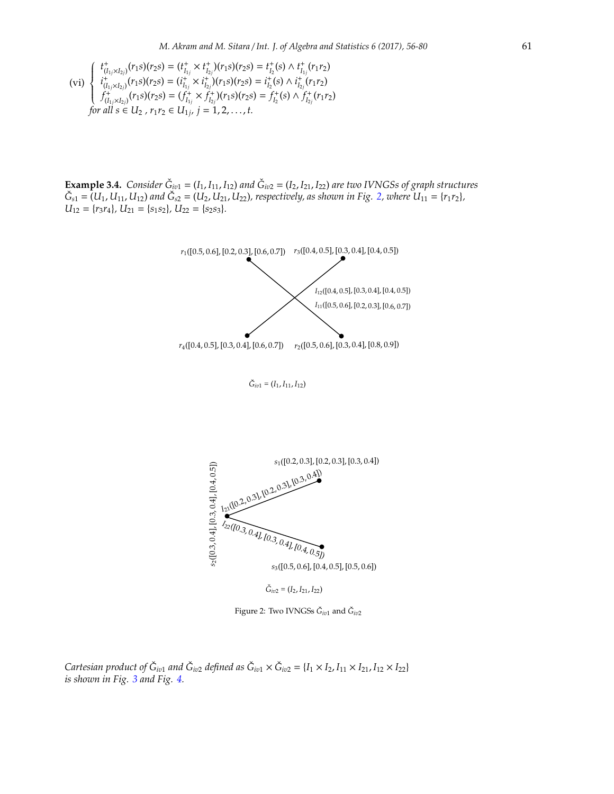$$
\text{(vi)} \begin{cases} \ t_{(I_{1j}\times I_{2j})}^+(r_{1S})(r_{2S}) = (t_{I_{1j}}^+\times t_{I_{2j}}^+)(r_{1S})(r_{2S}) = t_{I_{2}}^+(s)\wedge t_{I_{1j}}^+(r_{1}r_{2})\\ \ i_{(I_{1j}\times I_{2j})}^+(r_{1S})(r_{2S}) = (i_{I_{1j}}^+\times i_{I_{2j}}^+)(r_{1S})(r_{2S}) = i_{I_{2}}^+(s)\wedge i_{I_{2j}}^+(r_{1}r_{2})\\ \ f_{(I_{1j}\times I_{2j})}^+(r_{1S})(r_{2S}) = (f_{I_{1j}}^+\times f_{I_{2j}}^+)(r_{1S})(r_{2S}) = f_{I_{2}}^+(s)\wedge f_{I_{2j}}^+(r_{1}r_{2})\\ \text{for all } s\in U_{2}\ ,\ r_{1}r_{2}\in U_{1j},\ j=1,2,\ldots,t.\end{cases}
$$

**Example 3.4.** *Consider*  $\check{G}_{iv1} = (I_1, I_{11}, I_{12})$  *and*  $\check{G}_{iv2} = (I_2, I_{21}, I_{22})$  *are two IVNGSs of graph structures*  $\check{G}_{s1} = (U_1, U_{11}, U_{12})$  and  $\check{G}_{s2} = (U_2, U_{21}, U_{22})$  $\check{G}_{s2} = (U_2, U_{21}, U_{22})$  $\check{G}_{s2} = (U_2, U_{21}, U_{22})$ , respectively, as shown in Fig. 2, where  $U_{11} = \{r_1r_2\}$ ,  $U_{12} = \{r_3r_4\}$ ,  $U_{21} = \{s_1s_2\}$ ,  $U_{22} = \{s_2s_3\}$ .



<span id="page-5-0"></span>Figure 2: Two IVNGSs  $\check{G}_{iv1}$  and  $\check{G}_{iv2}$ 

*Cartesian product of*  $\check{G}_{iv1}$  *and*  $\check{G}_{iv2}$  *defined as*  $\check{G}_{iv1} \times \check{G}_{iv2} = \{I_1 \times I_2, I_{11} \times I_{21}, I_{12} \times I_{22}\}$ *is shown in Fig. [3](#page-6-0) and Fig. [4.](#page-6-1)*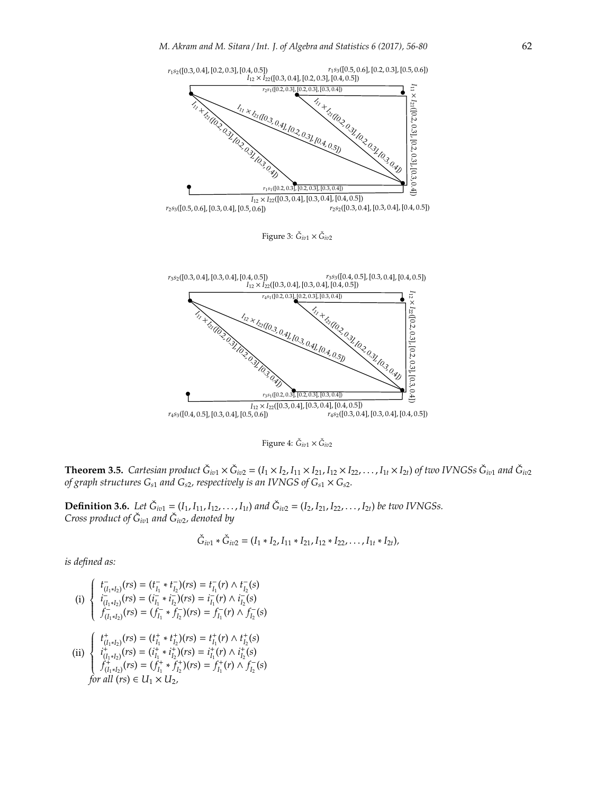

<span id="page-6-1"></span><span id="page-6-0"></span>Figure 4:  $\check{G}_{iv1} \times \check{G}_{iv2}$ 

**Theorem 3.5.** Cartesian product  $\check{G}_{iv1} \times \check{G}_{iv2} = (I_1 \times I_2, I_{11} \times I_{21}, I_{12} \times I_{22}, \dots, I_{1t} \times I_{2t})$  of two IVNGSs  $\check{G}_{iv1}$  and  $\check{G}_{iv2}$ <br>of graph structures G<sub>s1</sub> and G<sub>s2</sub>, respectively is an IVNGS of G<sub>s1</sub> × G<sub>s2</sub>

**Definition 3.6.** Let  $\check{G}_{i\sigma 1} = (I_1, I_{11}, I_{12}, \ldots, I_{1t})$  and  $\check{G}_{i\sigma 2} = (I_2, I_{21}, I_{22}, \ldots, I_{2t})$  be two IVNGSs. *Cross product of G*ˇ *iv*<sup>1</sup> *and G*ˇ *iv*2*, denoted by*

$$
\check{G}_{iv1} * \check{G}_{iv2} = (I_1 * I_2, I_{11} * I_{21}, I_{12} * I_{22}, \ldots, I_{1t} * I_{2t}),
$$

(i) 
$$
\begin{cases} t_{(I_1 * I_2)}(rs) = (t_{I_1}^ - * t_{I_2}^ -)(rs) = t_{I_1}^ - (r) \wedge t_{I_2}^ - (s) \\ i_{(I_1 * I_2)}^ - (rs) = (i_{I_1}^ - * i_{I_2}^ -)(rs) = i_{I_1}^ - (r) \wedge i_{I_2}^ - (s) \\ f_{(I_1 * I_2)}^ - (rs) = (f_{I_1}^ - * f_{I_2}^ -)(rs) = f_{I_1}^ - (r) \wedge f_{I_2}^ - (s) \end{cases}
$$

(ii) 
$$
\begin{cases} t_{(I_1 * I_2)}^+(rs) = (t_{I_1}^* * t_{I_2}^+)(rs) = t_{I_1}^+(r) \wedge t_{I_2}^+(s) \\ t_{(I_1 * I_2)}^+(rs) = (t_{I_1}^* * t_{I_2}^+)(rs) = t_{I_1}^+(r) \wedge t_{I_2}^+(s) \\ f_{(I_1 * I_2)}^+(rs) = (f_{I_1}^* * f_{I_2}^+)(rs) = f_{I_1}^+(r) \wedge f_{I_2}^-(s) \\ \text{for all } (rs) \in U_1 \times U_2, \end{cases}
$$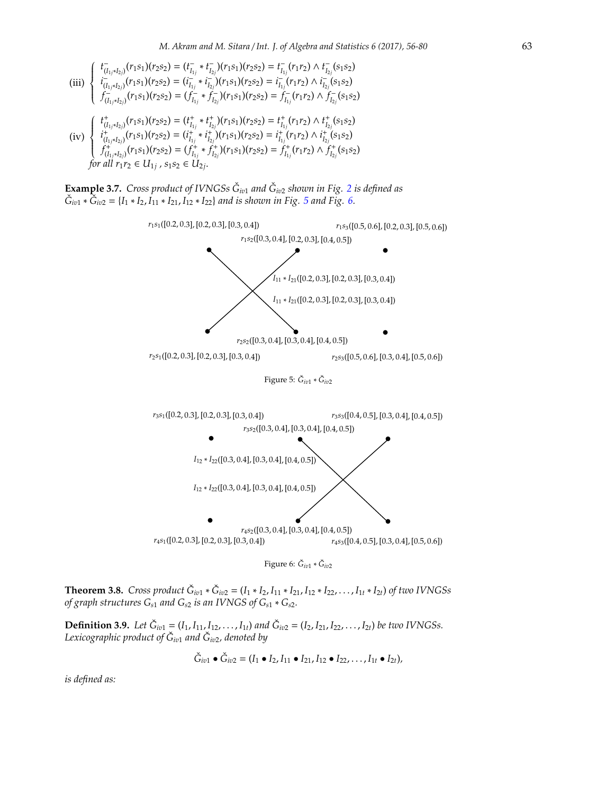$$
\begin{array}{c}\n\text{(iii)} \begin{cases}\nt^{\text{t}}_{(I_{1j}*I_{2j})}(r_{1}s_{1})(r_{2}s_{2}) = (t^{\text{t}}_{I_{1j}} * t^{\text{t}}_{I_{2j}})(r_{1}s_{1})(r_{2}s_{2}) = t^{\text{t}}_{I_{1j}}(r_{1}r_{2}) \land t^{\text{t}}_{I_{2j}}(s_{1}s_{2}) \\
i^{\text{t}}_{(I_{1j}*I_{2j})}(r_{1}s_{1})(r_{2}s_{2}) = (i^{\text{t}}_{I_{1j}} * i^{\text{t}}_{I_{2j}})(r_{1}s_{1})(r_{2}s_{2}) = i^{\text{t}}_{I_{1j}}(r_{1}r_{2}) \land i^{\text{t}}_{I_{2j}}(s_{1}s_{2}) \\
f^{\text{t}}_{(I_{1j}*I_{2j})}(r_{1}s_{1})(r_{2}s_{2}) = (f^{\text{t}}_{I_{1j}} * f^{\text{t}}_{I_{2j}})(r_{1}s_{1})(r_{2}s_{2}) = f^{\text{t}}_{I_{1j}}(r_{1}r_{2}) \land f^{\text{t}}_{I_{2j}}(s_{1}s_{2}) \\
\text{(iv)} \begin{cases}\nt^{\text{t}}_{(I_{1j}*I_{2j})}(r_{1}s_{1})(r_{2}s_{2}) = (t^{\text{t}}_{I_{1j}} * t^{\text{t}}_{I_{2j}})(r_{1}s_{1})(r_{2}s_{2}) = t^{\text{t}}_{I_{1j}}(r_{1}r_{2}) \land t^{\text{t}}_{I_{2j}}(s_{1}s_{2}) \\
i^{\text{t}}_{(I_{1j}*I_{2j})}(r_{1}s_{1})(r_{2}s_{2}) = (i^{\text{t}}_{I_{1j}} * i^{\text{t}}_{I_{2j}})(r_{1}s_{1})(r_{2}s_{2}) = i^{\text{t}}_{I_{1j}}(r_{1}r_{2}) \land i^{\text{t}}_{I_{2j}}(s_{1}s_{2})\n\end{cases}\n\end{array}
$$

 $\begin{cases} \n\cdot \frac{(I_{1j}*I_{2j})}{(I_1*I_{2j})}(r_1s_1)(r_2s_2) = \n\cdot \frac{(I_{I_{1j}} - I_{I_{2j}})(r_1s_1)(r_2s_2) - I_{I_{1j}}(r_1s_1)}{(I_{I_{1j}*I_{2j}})(r_1s_1)(r_2s_2)} = \n\cdot \frac{f_1^+}{f_1} (r_1r_2) \wedge f_2^+ \n\end{cases}$  $f^+_{(I_{1j}*I_{2j})}(r_1s_1)(r_2s_2) = (f^+_{I_{1j}} * f^+_{I_{2j}})(r_1s_1)(r_2s_2) = f^+_{I_{1j}}(r_1r_2) \wedge f^+_{I_{2j}}(s_1s_2)$ *for all*  $r_1r_2 \in U_{1j}$ ,  $s_1s_2 \in U_{2j}$ .

**Example 3.7.** *Cross product of IVNGSs*  $\check{G}_{iv1}$  *and*  $\check{G}_{iv2}$  $\check{G}_{iv2}$  $\check{G}_{iv2}$  *shown in Fig. 2 is defined as*  $\check{G}_{iv1} * \check{G}_{iv2} = \{I_1 * I_2, I_{11} * I_{21}, I_{12} * I_{22}\}$  *and is shown in Fig. [5](#page-7-0) and Fig. 6*.



<span id="page-7-1"></span><span id="page-7-0"></span>

**Theorem 3.8.** Cross product  $\check{G}_{iv1} * \check{G}_{iv2} = (I_1 * I_2, I_{11} * I_{21}, I_{12} * I_{22}, \ldots, I_{1t} * I_{2t})$  of two IVNGSs *of graph structures Gs*<sup>1</sup> *and Gs*<sup>2</sup> *is an IVNGS of Gs*<sup>1</sup> ∗ *Gs*2*.*

**Definition 3.9.** Let  $\check{G}_{i\sigma 1} = (I_1, I_{11}, I_{12}, \ldots, I_{1t})$  and  $\check{G}_{i\sigma 2} = (I_2, I_{21}, I_{22}, \ldots, I_{2t})$  be two IVNGSs. *Lexicographic product of G*ˇ *iv*<sup>1</sup> *and G*ˇ *iv*2*, denoted by*

$$
\check{G}_{iv1} \bullet \check{G}_{iv2} = (I_1 \bullet I_2, I_{11} \bullet I_{21}, I_{12} \bullet I_{22}, \ldots, I_{1t} \bullet I_{2t}),
$$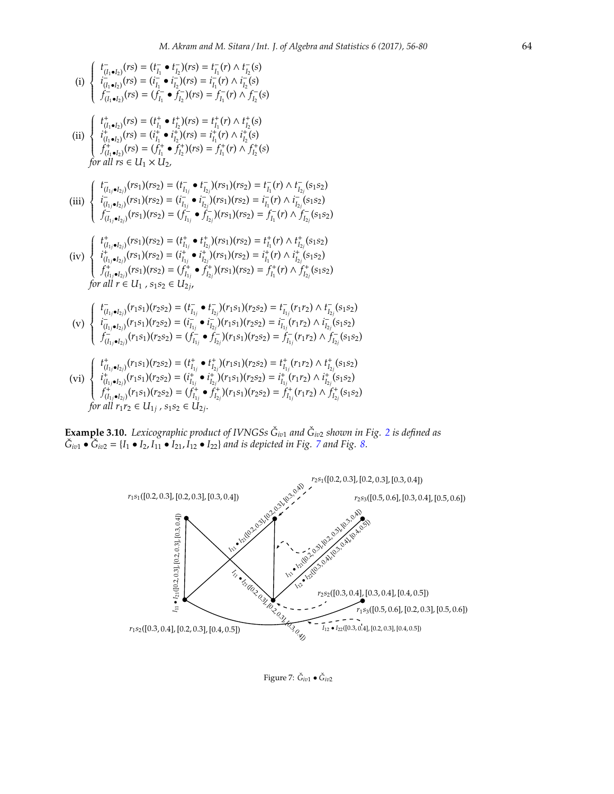(i) 
$$
\begin{cases}\nt_{(I_{1},\bullet I_{2})}^{+}(rs) = (t_{I_{1}}^{-} \bullet t_{I_{2}}^{-})(rs) = t_{I_{1}}^{-}(r) \wedge t_{I_{2}}^{-}(s) \\
t_{(I_{1},\bullet I_{2})}^{+}(rs) = (i_{I_{1}}^{-} \bullet i_{I_{2}}^{-})(rs) = i_{I_{1}}^{-}(r) \wedge t_{I_{2}}^{-}(s) \\
t_{(I_{1},\bullet I_{2})}^{+}(rs) = (f_{I_{1}}^{-} \bullet f_{I_{2}}^{-})(rs) = f_{I_{1}}^{-}(r) \wedge f_{I_{2}}^{-}(s) \\
\text{(ii)} \begin{cases}\nt_{(I_{1},\bullet I_{2})}^{+}(rs) = (t_{I_{1}}^{+} \bullet t_{I_{2}}^{+})(rs) = t_{I_{1}}^{+}(r) \wedge t_{I_{2}}^{+}(s) \\
t_{(I_{1},\bullet I_{2})}^{+}(rs) = (t_{I_{1}}^{+} \bullet t_{I_{2}}^{+})(rs) = t_{I_{1}}^{+}(r) \wedge t_{I_{2}}^{+}(s) \\
t_{(I_{1},\bullet I_{2})}^{+}(rs) = (f_{I_{1}}^{+} \bullet f_{I_{2}}^{+})(rs) = f_{I_{1}}^{+}(r) \wedge f_{I_{2}}^{+}(s) \\
\text{for all } rs \in U_{1} \times U_{2}.\n\end{cases}
$$
\n(iii) 
$$
\begin{cases}\nt_{(I_{1},\bullet I_{2})}^{+}(rs_{1})(rs_{2}) = (t_{I_{1}}^{-} \bullet t_{I_{2})}^{-}(rs_{1})(rs_{2}) = t_{I_{1}}^{-}(r) \wedge t_{I_{2}}^{-}(s_{1}s_{2}) \\
t_{(I_{1},\bullet I_{2})}^{+}(rs_{1})(rs_{2}) = (t_{I_{1}}^{-} \bullet t_{I_{2})}^{-}(rs_{1})(rs_{2}) = t_{I_{1}}^{-}(r) \wedge t_{I_{2}}^{-}(s_{1}s_{2}) \\
t_{(I_{1},\bullet I_{2})}^{+}(rs_{1})(rs_{2}) = (t_{I_{1}}^{-} \bullet t_{I_{2})}^{-}(rs_{1})(rs_{2}) = t_{I_{1}}^{-}(r) \wedge t_{I_{2}}^{-}(s_{1}s_{2}) \\
\text{(iv)} \begin{cases}\nt_{(I_{1},\bullet I_{2})}^{+}(rs_{1})(rs_{2}) = (t_{I_{
$$

**Example 3.10.** Lexicographic product of IVNGSs  $\check{G}_{iv1}$  and  $\check{G}_{iv2}$  $\check{G}_{iv2}$  $\check{G}_{iv2}$  shown in Fig. 2 is defined as  $\check{G}_{iv1} \bullet \check{G}_{iv2} = \{I_1 \bullet I_2, I_{11} \bullet I_{21}, I_{12} \bullet I_{22}\}$  *and is depicted in Fig. [7](#page-8-0) and Fig. [8.](#page-9-0)* 



<span id="page-8-0"></span>Figure 7: *Ğ<sub>iv1</sub> ● Ğ<sub>iv2</sub>*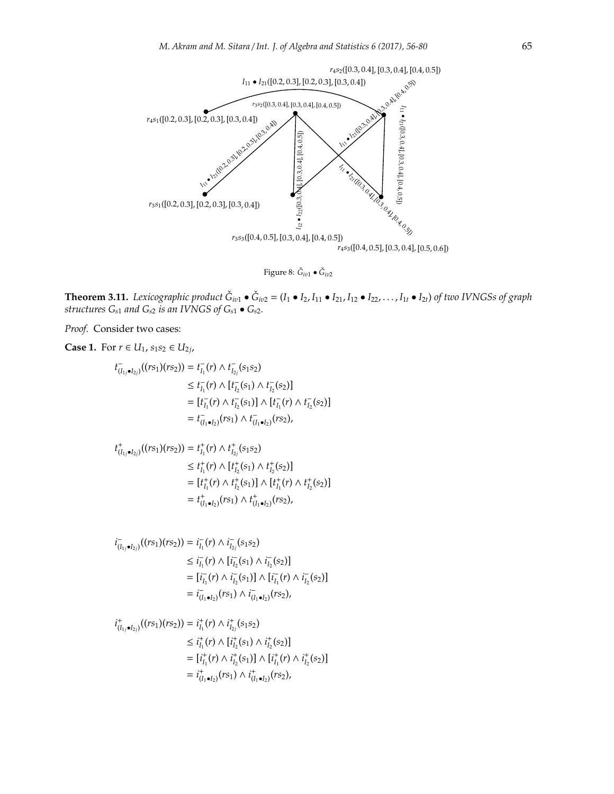

<span id="page-9-0"></span>Figure 8: *Ğ<sub>iv1</sub> ● Ğ<sub>iv2</sub>* 

**Theorem 3.11.** Lexicographic product  $\check{G}_{i\sigma1} \bullet \check{G}_{i\sigma2} = (I_1 \bullet I_2, I_{11} \bullet I_{21}, I_{12} \bullet I_{22}, \ldots, I_{1t} \bullet I_{2t})$  of two IVNGSs of graph *structures G<sup>s</sup>*<sup>1</sup> *and G<sup>s</sup>*<sup>2</sup> *is an IVNGS of G<sup>s</sup>*<sup>1</sup> • *G<sup>s</sup>*2*.*

*Proof.* Consider two cases:

Case 1. For 
$$
r \in U_1
$$
,  $s_1s_2 \in U_{2j}$ ,  
\n
$$
t_{(I_1,\bullet I_{2j})}^-( (rs_1)(rs_2)) = t_{I_1}^-(r) \wedge t_{I_{2j}}^-(s_1s_2)
$$
\n
$$
\leq t_{I_1}^-(r) \wedge [t_{I_2}^-(s_1) \wedge t_{I_2}^-(s_2)]
$$
\n
$$
= [t_{I_1}^-(r) \wedge t_{I_2}^-(s_1)] \wedge [t_{I_1}^-(r) \wedge t_{I_2}^-(s_2)]
$$
\n
$$
= t_{(I_1 \bullet I_2)}^-(rs_1) \wedge t_{(I_1 \bullet I_2)}^-(rs_2),
$$

$$
t_{(I_{1j}\bullet I_{2j})}^{+}((rs_{1})(rs_{2})) = t_{I_{1}}^{+}(r) \wedge t_{I_{2j}}^{+}(s_{1}s_{2})
$$
  
\n
$$
\leq t_{I_{1}}^{+}(r) \wedge [t_{I_{2}}^{+}(s_{1}) \wedge t_{I_{2}}^{+}(s_{2})]
$$
  
\n
$$
= [t_{I_{1}}^{+}(r) \wedge t_{I_{2}}^{+}(s_{1})] \wedge [t_{I_{1}}^{+}(r) \wedge t_{I_{2}}^{+}(s_{2})]
$$
  
\n
$$
= t_{(I_{1}\bullet I_{2})}^{+}(rs_{1}) \wedge t_{(I_{1}\bullet I_{2})}^{+}(rs_{2}),
$$

$$
i_{(I_{1j}\bullet I_{2j})}^-(r s_1)(r s_2)) = i_{I_1}^-(r) \wedge i_{I_{2j}}^-(s_1 s_2)
$$
  
\n
$$
\leq i_{I_1}^-(r) \wedge [i_{I_2}^-(s_1) \wedge i_{I_2}^-(s_2)]
$$
  
\n
$$
= [i_{I_1}^-(r) \wedge i_{I_2}^-(s_1)] \wedge [i_{I_1}^-(r) \wedge i_{I_2}^-(s_2)]
$$
  
\n
$$
= i_{(I_1 \bullet I_2)}^-(r s_1) \wedge i_{(I_1 \bullet I_2)}^-(r s_2),
$$

$$
i_{(I_{1j}\bullet I_{2j})}^+((rs_1)(rs_2)) = i_{I_1}^+(r) \wedge i_{I_{2j}}^+(s_1s_2)
$$
  
\n
$$
\leq i_{I_1}^+(r) \wedge [i_{I_2}^+(s_1) \wedge i_{I_2}^+(s_2)]
$$
  
\n
$$
= [i_{I_1}^+(r) \wedge i_{I_2}^+(s_1)] \wedge [i_{I_1}^+(r) \wedge i_{I_2}^+(s_2)]
$$
  
\n
$$
= i_{(I_1\bullet I_2)}^+(rs_1) \wedge i_{(I_1\bullet I_2)}^+(rs_2),
$$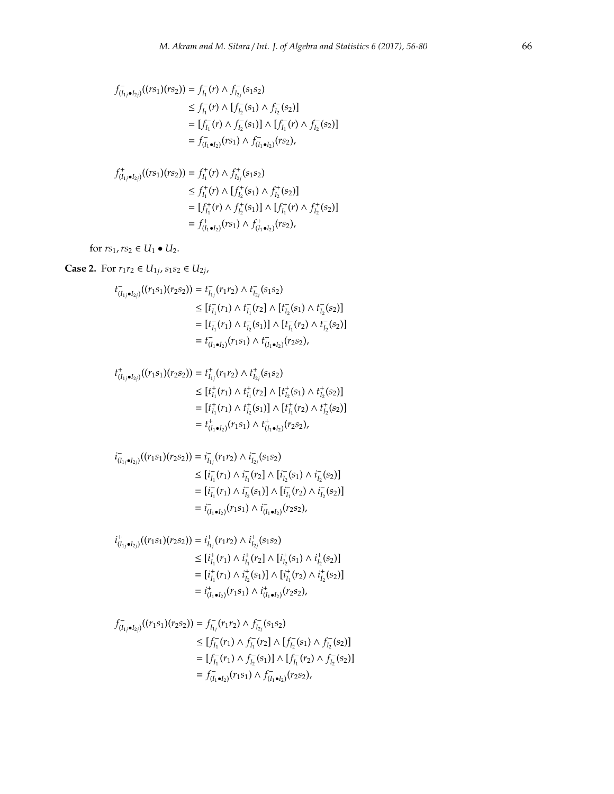$$
f_{(I_{1j}\bullet I_{2j})}^{-}(rs_{1})(rs_{2})) = f_{I_{1}}^{-}(r) \wedge f_{I_{2j}}^{-}(s_{1}s_{2})
$$
  
\n
$$
\leq f_{I_{1}}^{-}(r) \wedge [f_{I_{2}}^{-}(s_{1}) \wedge f_{I_{2}}^{-}(s_{2})]
$$
  
\n
$$
= [f_{I_{1}}^{-}(r) \wedge f_{I_{2}}^{-}(s_{1})] \wedge [f_{I_{1}}^{-}(r) \wedge f_{I_{2}}^{-}(s_{2})]
$$
  
\n
$$
= f_{(I_{1}\bullet I_{2})}^{-}(rs_{1}) \wedge f_{(I_{1}\bullet I_{2})}^{-}(rs_{2}),
$$

$$
f_{(I_{1j}\bullet I_{2j})}^{+}((rs_{1})(rs_{2})) = f_{I_{1}}^{+}(r) \wedge f_{I_{2j}}^{+}(s_{1}s_{2})
$$
  
\n
$$
\leq f_{I_{1}}^{+}(r) \wedge [f_{I_{2}}^{+}(s_{1}) \wedge f_{I_{2}}^{+}(s_{2})]
$$
  
\n
$$
= [f_{I_{1}}^{+}(r) \wedge f_{I_{2}}^{+}(s_{1})] \wedge [f_{I_{1}}^{+}(r) \wedge f_{I_{2}}^{+}(s_{2})]
$$
  
\n
$$
= f_{(I_{1}\bullet I_{2})}^{+}(rs_{1}) \wedge f_{(I_{1}\bullet I_{2})}^{+}(rs_{2}),
$$

for  $rs_1, rs_2 \in U_1 \bullet U_2$ .

### **Case 2.** For  $r_1r_2$  ∈  $U_{1j}$ ,  $s_1s_2$  ∈  $U_{2j}$ ,

$$
t_{(I_{1j}\bullet I_{2j})}^-(r_1s_1)(r_2s_2)) = t_{I_{1j}}^-(r_1r_2) \wedge t_{I_{2j}}^-(s_1s_2)
$$
  
\n
$$
\leq [t_{I_1}^-(r_1) \wedge t_{I_1}^-(r_2) \wedge [t_{I_2}^-(s_1) \wedge t_{I_2}^-(s_2)]
$$
  
\n
$$
= [t_{I_1}^-(r_1) \wedge t_{I_2}^-(s_1)] \wedge [t_{I_1}^-(r_2) \wedge t_{I_2}^-(s_2)]
$$
  
\n
$$
= t_{(I_1\bullet I_2)}^-(r_1s_1) \wedge t_{(I_1\bullet I_2)}^-(r_2s_2),
$$

$$
t_{(I_{1j}\bullet I_{2j})}^{+}((r_{1}s_{1})(r_{2}s_{2})) = t_{I_{1j}}^{+}(r_{1}r_{2}) \wedge t_{I_{2j}}^{+}(s_{1}s_{2})
$$
  
\n
$$
\leq [t_{I_{1}}^{+}(r_{1}) \wedge t_{I_{1}}^{+}(r_{2}] \wedge [t_{I_{2}}^{+}(s_{1}) \wedge t_{I_{2}}^{+}(s_{2})]
$$
  
\n
$$
= [t_{I_{1}}^{+}(r_{1}) \wedge t_{I_{2}}^{+}(s_{1})] \wedge [t_{I_{1}}^{+}(r_{2}) \wedge t_{I_{2}}^{+}(s_{2})]
$$
  
\n
$$
= t_{(I_{1}\bullet I_{2})}^{+}(r_{1}s_{1}) \wedge t_{(I_{1}\bullet I_{2})}^{+}(r_{2}s_{2}),
$$

$$
i_{(I_{1j}\bullet I_{2j})}^{-}(r_{1}s_{1})(r_{2}s_{2})) = i_{I_{1j}}^{-}(r_{1}r_{2}) \wedge i_{I_{2j}}^{-}(s_{1}s_{2})
$$
\n
$$
\leq [i_{I_{1}}^{-}(r_{1}) \wedge i_{I_{1}}^{-}(r_{2}) \wedge [i_{I_{2}}^{-}(s_{1}) \wedge i_{I_{2}}^{-}(s_{2})]
$$
\n
$$
= [i_{I_{1}}^{-}(r_{1}) \wedge i_{I_{2}}^{-}(s_{1})] \wedge [i_{I_{1}}^{-}(r_{2}) \wedge i_{I_{2}}^{-}(s_{2})]
$$
\n
$$
= i_{(I_{1}\bullet I_{2})}^{-}(r_{1}s_{1}) \wedge i_{(I_{1}\bullet I_{2})}^{-}(r_{2}s_{2}),
$$

$$
i^+_{(I_{1j}\bullet I_{2j})}((r_1s_1)(r_2s_2)) = i^+_{I_{1j}}(r_1r_2) \wedge i^+_{I_{2j}}(s_1s_2)
$$
  
\n
$$
\leq [i^+_{I_1}(r_1) \wedge i^+_{I_1}(r_2] \wedge [i^+_{I_2}(s_1) \wedge i^+_{I_2}(s_2)]
$$
  
\n
$$
= [i^+_{I_1}(r_1) \wedge i^+_{I_2}(s_1)] \wedge [i^+_{I_1}(r_2) \wedge i^+_{I_2}(s_2)]
$$
  
\n
$$
= i^+_{(I_1\bullet I_2)}(r_1s_1) \wedge i^+_{(I_1\bullet I_2)}(r_2s_2),
$$

$$
f_{(I_{1j}\bullet I_{2j})}^{-}(r_{1}s_{1})(r_{2}s_{2})) = f_{I_{1j}}^{-}(r_{1}r_{2}) \wedge f_{I_{2j}}^{-}(s_{1}s_{2})
$$
  
\n
$$
\leq [f_{I_{1}}^{-}(r_{1}) \wedge f_{I_{1}}^{-}(r_{2}] \wedge [f_{I_{2}}^{-}(s_{1}) \wedge f_{I_{2}}^{-}(s_{2})]
$$
  
\n
$$
= [f_{I_{1}}^{-}(r_{1}) \wedge f_{I_{2}}^{-}(s_{1})] \wedge [f_{I_{1}}^{-}(r_{2}) \wedge f_{I_{2}}^{-}(s_{2})]
$$
  
\n
$$
= f_{(I_{1}\bullet I_{2})}^{-}(r_{1}s_{1}) \wedge f_{(I_{1}\bullet I_{2})}^{-}(r_{2}s_{2}),
$$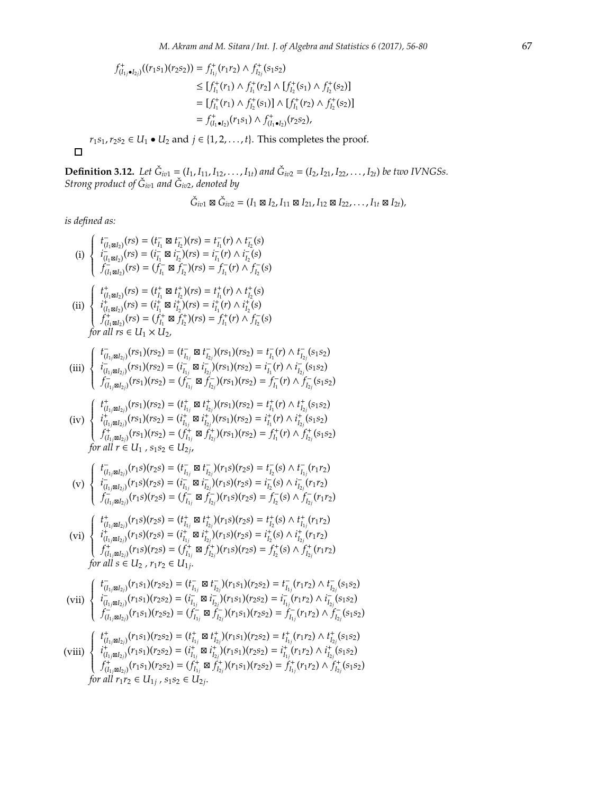$$
f_{(I_1,\bullet I_2)}^+(((r_1s_1)(r_2s_2)) = f_{I_{1j}}^+(r_1r_2) \wedge f_{I_{2j}}^+(s_1s_2)
$$
  
\n
$$
\leq [f_{I_1}^+(r_1) \wedge f_{I_1}^+(r_2) \wedge [f_{I_2}^+(s_1) \wedge f_{I_2}^+(s_2)]
$$
  
\n
$$
= [f_{I_1}^+(r_1) \wedge f_{I_2}^+(s_1)] \wedge [f_{I_1}^+(r_2) \wedge f_{I_2}^+(s_2)]
$$
  
\n
$$
= f_{(I_1\bullet I_2)}^+(r_1s_1) \wedge f_{(I_1\bullet I_2)}^+(r_2s_2),
$$
  
\n
$$
r_1s_1, r_2s_2 \in U_1 \bullet U_2 \text{ and } j \in \{1, 2, ..., t\}. \text{ This completes the proof.}
$$

 $\Box$ 

**Definition 3.12.** Let  $\check{G}_{iv1} = (I_1, I_{11}, I_{12}, \ldots, I_{1t})$  and  $\check{G}_{iv2} = (I_2, I_{21}, I_{22}, \ldots, I_{2t})$  be two IVNGSs. *Strong product of G*ˇ *iv*<sup>1</sup> *and G*ˇ *iv*2*, denoted by*

$$
\check{G}_{iv1} \boxtimes \check{G}_{iv2} = (I_1 \boxtimes I_2, I_{11} \boxtimes I_{21}, I_{12} \boxtimes I_{22}, \ldots, I_{1t} \boxtimes I_{2t}),
$$

(i) 
$$
\begin{cases}\n t_{(i,1,1,2,1)}^T(rs) = (t_{i-1}^T \boxtimes t_{i-1}^T)(rs) = t_{i-1}^T(r) \land t_{i-1}^T(s) \\
 t_{(i,1,2,2,1}^T(rs) = (t_{i-1}^T \boxtimes t_{i-1}^T)(rs) = t_{i-1}^T(r) \land t_{i-1}^T(s) \\
 t_{(i,1,2,1}^T(rs) = (t_{i-1}^T \boxtimes t_{i-1}^T)(rs) = t_{i-1}^T(r) \land t_{i-1}^T(s) \\
 t_{(i,1,2,1}^T(rs) = (t_{i-1}^T \boxtimes t_{i-1}^T)(rs) = t_{i-1}^T(r) \land t_{i-1}^T(s) \\
 t_{(i,1,2,1}^T(rs) = (t_{i-1}^T \boxtimes t_{i-1}^T)(rs) = t_{i-1}^T(r) \land t_{i-1}^T(s) \\
 t_{(i,1,2,1}^T(rs) = (t_{i-1}^T \boxtimes t_{i-1}^T)(rs) = t_{i-1}^T(r) \land t_{i-1}^T(s) \\
 t_{(i,1,2,1}^T(rs) = (t_{i-1}^T \boxtimes t_{i-1}^T)(rs) = t_{i-1}^T(r) \land t_{i-1}^T(rs) = t_{i-1}^T(r) \land t_{i-1}^T(s) = t_{i-1}^T(rs) \land t_{i-1}^T(s) = t_{i-1}^T(rs) \land t_{i-1}^T(s) = t_{i-1}^T(rs) \land t_{i-1}^T(s) = t_{i-1}^T(rs) \land t_{i-1}^T(s) = t_{i-1}^T(rs) \land t_{i-1}^T(s) = t_{i-1}^T(rs) \land t_{i-1}^T(s) = t_{i-1}^T(rs) \land t_{i-1}^T(s) = t_{i-1}^T(rs) \land t_{i-1}^T(s) = t_{i-1}^T(rs) \land t_{i-1}^T(s) = t_{i-1}^T(rs) \land t_{i-1}^T(s) = t_{i-1}^T(rs) \land t_{i-1}^T(s) = t_{i-1
$$

$$
\text{(viii)} \begin{cases} t_{(I_1\mid \mathfrak{B} I_2)}^+(r_{1S1})(r_{2S2}) = (t_{I_1j}^+ \boxtimes t_{I_2j}^+)(r_{1S1})(r_{2S2}) = t_{I_{1j}}^+(r_{1T2}) \wedge t_{I_{2j}}^+(s_{1S2})\\ i_{(I_1\mid \mathfrak{B} I_2)}^+(r_{1S1})(r_{2S2}) = (i_{I_{1j}}^+ \boxtimes i_{I_{2j}}^+)(r_{1S1})(r_{2S2}) = i_{I_{1j}}^+(r_{1T2}) \wedge i_{I_{2j}}^+(s_{1S2})\\ f_{(I_1\mid \mathfrak{B} I_2j)}^+(r_{1S1})(r_{2S2}) = (f_{I_{1j}}^+ \boxtimes f_{I_{2j}}^+)(r_{1S1})(r_{2S2}) = f_{I_{1j}}^+(r_{1T2}) \wedge f_{I_{2j}}^+(s_{1S2})\\ \text{for all } r_{1T2} \in U_{1j} \text{ , } s_{1S2} \in U_{2j}. \end{cases}
$$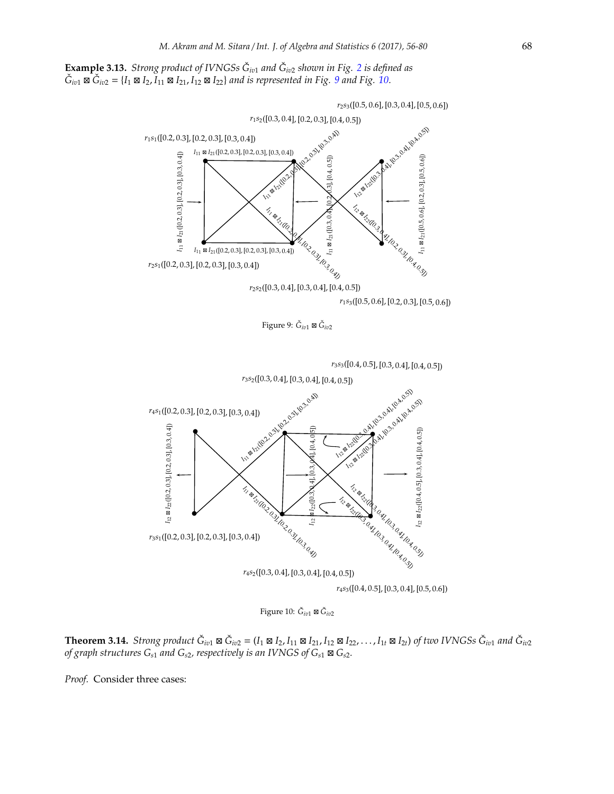**Example 3.13.** *Strong product of IVNGSs G*ˇ *iv*<sup>1</sup> *and G*ˇ *iv*<sup>2</sup> *shown in Fig. [2](#page-5-0) is defined as*  $\check{G}_{iv1}$  ⊠  $\check{G}_{iv2} = \{I_1 \boxtimes I_2, I_{11} \boxtimes I_{21}, I_{12} \boxtimes I_{22}\}$  *and is represented in Fig.* [9](#page-12-0) *and Fig.* [10.](#page-12-1)



<span id="page-12-0"></span>Figure 9: *G*ˇ *iv*<sup>1</sup> ⊠ *G*ˇ *iv*2

*<sup>r</sup>*3*s*3([0.4, <sup>0</sup>.5], [0.3, <sup>0</sup>.4], [0.4, <sup>0</sup>.5])



<span id="page-12-1"></span>Figure 10: *G*ˇ *iv*<sup>1</sup> ⊠ *G*ˇ *iv*2

**Theorem 3.14.** Strong product  $\check{G}_{iv1} \boxtimes \check{G}_{iv2} = (I_1 \boxtimes I_2, I_{11} \boxtimes I_{21}, I_{12} \boxtimes I_{22}, \ldots, I_{1t} \boxtimes I_{2t})$  of two IVNGSs  $\check{G}_{iv1}$  and  $\check{G}_{iv2}$ <br>of graph structures  $G_{s1}$  and  $G_{s2}$ , respectively is an IVNGS of  $G_{s$ 

*Proof.* Consider three cases: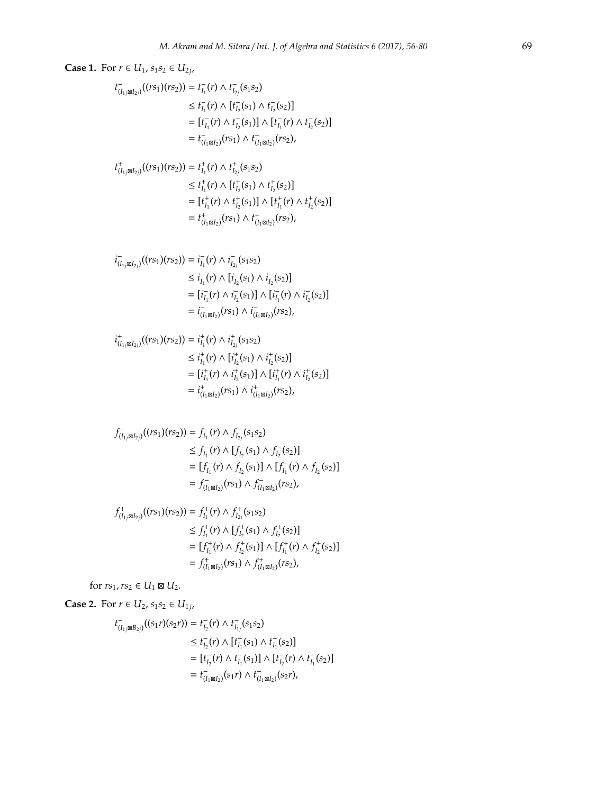Case 1. For 
$$
r \in U_1
$$
,  $s_1s_2 \in U_{2j}$ ,  
\n
$$
t_{(i_1, j_1, j_2)}(r_{S_1})(r_{S_2})) = t_{i_1}^-(r) \wedge t_{i_2}^-(s_1s_2)
$$
\n
$$
\leq t_{i_1}^-(r) \wedge t_{i_2}^-(s_1) \wedge t_{i_2}^-(s_2)
$$
\n
$$
= [t_{i_1}^-(r) \wedge t_{i_2}^-(s_1)] \wedge [t_{i_1}^-(r) \wedge t_{i_2}^-(s_2)]
$$
\n
$$
= t_{(i_1, j_2)}^+(r_{S_1})(r_{S_2})) = t_{i_1}^+(r) \wedge t_{i_2}^+(s_{1S_2})
$$
\n
$$
\leq t_{i_1}^+(r) \wedge [t_{i_2}^+(s_1) \wedge t_{i_2}^+(s_2)]
$$
\n
$$
= [t_{i_1}^+(r) \wedge t_{i_2}^+(s_1) \wedge t_{i_1}^+(s_2)]
$$
\n
$$
= t_{(i_1, j_2)}^+(r_{S_1}) \wedge t_{i_1, j_2}^+(s_2)]
$$
\n
$$
= t_{(i_1, j_2)}^+(r_{S_1}) \wedge t_{i_1, j_2}^+(s_2)
$$
\n
$$
\leq t_{i_1}^-(r) \wedge t_{i_2}^-(s_1s_2)
$$
\n
$$
\leq t_{i_1}^-(r) \wedge t_{i_2}^-(s_1s_2)
$$
\n
$$
= [t_{i_1}^-(r) \wedge t_{i_2}^-(s_1s_2)]
$$
\n
$$
= [t_{i_1}^-(r) \wedge t_{i_2}^-(s_1s_2)]
$$
\n
$$
= [t_{i_1}^-(r) \wedge t_{i_2}^+(s_1s_2)]
$$
\n
$$
= t_{(i_1, j_2)}^+(r_{S_1}) \wedge t_{i_1, j_2}^+(s_2)]
$$
\n
$$
= t_{i_1}^+(r) \wedge t_{i_2}^+(s_1
$$

$$
f_{(I_{1j}\boxtimes I_{2j})}^{+}((rs_{1})(rs_{2})) = f_{I_{1}}^{+}(r) \wedge f_{I_{2j}}^{+}(s_{1}s_{2})
$$
  
\n
$$
\leq f_{I_{1}}^{+}(r) \wedge [f_{I_{2}}^{+}(s_{1}) \wedge f_{I_{2}}^{+}(s_{2})]
$$
  
\n
$$
= [f_{I_{1}}^{+}(r) \wedge f_{I_{2}}^{+}(s_{1})] \wedge [f_{I_{1}}^{+}(r) \wedge f_{I_{2}}^{+}(s_{2})]
$$
  
\n
$$
= f_{(I_{1}\boxtimes I_{2})}^{+}(rs_{1}) \wedge f_{(I_{1}\boxtimes I_{2})}^{+}(rs_{2}),
$$

for  $rs_1, rs_2 \in U_1 \boxtimes U_2$ .

**Case 2.** For *r* ∈ *U*<sub>2</sub>, *s*<sub>1</sub>*s*<sub>2</sub> ∈ *U*<sub>1*j*</sub></sub>,

$$
t_{(I_{1j} \boxtimes B_{2j})}^-(s_1r)(s_2r) = t_{I_2}^-(r) \wedge t_{I_{1j}}^-(s_1s_2)
$$
  
\n
$$
\leq t_{I_2}^-(r) \wedge [t_{I_1}^-(s_1) \wedge t_{I_1}^-(s_2)]
$$
  
\n
$$
= [t_{I_2}^-(r) \wedge t_{I_1}^-(s_1)] \wedge [t_{I_2}^-(r) \wedge t_{I_1}^-(s_2)]
$$
  
\n
$$
= t_{(I_1 \boxtimes I_2)}^-(s_1r) \wedge t_{(I_1 \boxtimes I_2)}^-(s_2r),
$$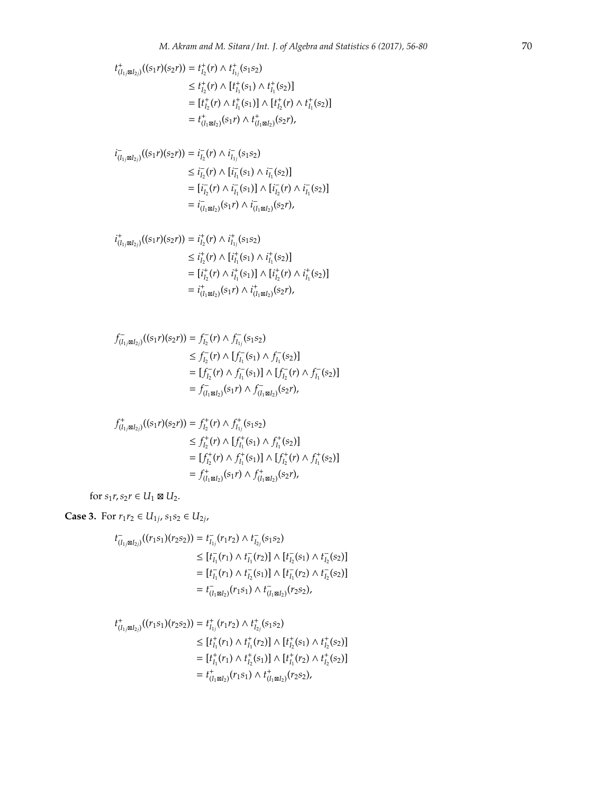$$
t_{(I_1, \boxtimes I_2)}^+(s_1r)(s_2r) = t_{I_2}^+(r) \wedge t_{I_1}^+(s_1s_2)
$$
  
\n
$$
\leq t_{I_2}^+(r) \wedge [t_{I_1}^+(s_1) \wedge t_{I_1}^+(s_2)]
$$
  
\n
$$
= [t_{I_2}^+(r) \wedge t_{I_1}^+(s_1)] \wedge [t_{I_2}^+(r) \wedge t_{I_1}^+(s_2)]
$$
  
\n
$$
= t_{(I_1 \boxtimes I_2)}^+(s_1r) \wedge t_{(I_1 \boxtimes I_2)}^+(s_2r),
$$

$$
\begin{aligned} i_{(I_{1j}\boxtimes I_{2j})}^-(s_1r)(s_2r)) &= i_{I_2}^-(r) \wedge i_{I_{1j}}^-(s_1s_2) \\ &\leq i_{I_2}^-(r) \wedge [i_{I_1}^-(s_1) \wedge i_{I_1}^-(s_2)] \\ &= [i_{I_2}^-(r) \wedge i_{I_1}^-(s_1)] \wedge [i_{I_2}^-(r) \wedge i_{I_1}^-(s_2)] \\ &= i_{(I_1\boxtimes I_2)}^-(s_1r) \wedge i_{(I_1\boxtimes I_2)}^-(s_2r), \end{aligned}
$$

$$
\begin{aligned} i^+_{(I_{1j}\boxtimes I_{2j})}((s_1r)(s_2r))&=i^+_{I_2}(r)\wedge i^+_{I_{1j}}(s_1s_2)\\ &\leq i^+_{I_2}(r)\wedge [i^+_{I_1}(s_1)\wedge i^+_{I_1}(s_2)]\\ &= [i^+_{I_2}(r)\wedge i^+_{I_1}(s_1)]\wedge [i^+_{I_2}(r)\wedge i^+_{I_1}(s_2)]\\ &= i^+_{(I_1\boxtimes I_2)}(s_1r)\wedge i^+_{(I_1\boxtimes I_2)}(s_2r),\end{aligned}
$$

$$
f_{(I_{1j}\boxtimes I_{2j})}^{-}(s_{1r})(s_{2r})) = f_{I_{2}}^{-}(r) \wedge f_{I_{1j}}^{-}(s_{1}s_{2})
$$
  
\n
$$
\leq f_{I_{2}}^{-}(r) \wedge [f_{I_{1}}^{-}(s_{1}) \wedge f_{I_{1}}^{-}(s_{2})]
$$
  
\n
$$
= [f_{I_{2}}^{-}(r) \wedge f_{I_{1}}^{-}(s_{1})] \wedge [f_{I_{2}}^{-}(r) \wedge f_{I_{1}}^{-}(s_{2})]
$$
  
\n
$$
= f_{(I_{1}\boxtimes I_{2})}^{-}(s_{1r}) \wedge f_{(I_{1}\boxtimes I_{2})}^{-}(s_{2r}),
$$

$$
f_{(I_1; \boxtimes I_2;)}^+((s_1r)(s_2r)) = f_{I_2}^+(r) \wedge f_{I_{1j}}^+(s_1s_2)
$$
  
\n
$$
\leq f_{I_2}^+(r) \wedge [f_{I_1}^+(s_1) \wedge f_{I_1}^+(s_2)]
$$
  
\n
$$
= [f_{I_2}^+(r) \wedge f_{I_1}^+(s_1)] \wedge [f_{I_2}^+(r) \wedge f_{I_1}^+(s_2)]
$$
  
\n
$$
= f_{(I_1 \boxtimes I_2)}^+(s_1r) \wedge f_{(I_1 \boxtimes I_2)}^+(s_2r),
$$

for  $s_1r$ ,  $s_2r \in U_1 \boxtimes U_2$ .

**Case 3.** For *r*<sub>1</sub>*r*<sub>2</sub> ∈ *U*<sub>1*j*</sub>, *s*<sub>1</sub>*s*<sub>2</sub> ∈ *U*<sub>2*j*</sub>,

$$
t_{(I_1, \boxtimes I_2)}^{-}(r_1s_1)(r_2s_2)) = t_{I_1}^{-}(r_1r_2) \wedge t_{I_2}^{-}(s_1s_2)
$$
  
\n
$$
\leq [t_{I_1}^{-}(r_1) \wedge t_{I_1}^{-}(r_2)] \wedge [t_{I_2}^{-}(s_1) \wedge t_{I_2}^{-}(s_2)]
$$
  
\n
$$
= [t_{I_1}^{-}(r_1) \wedge t_{I_2}^{-}(s_1)] \wedge [t_{I_1}^{-}(r_2) \wedge t_{I_2}^{-}(s_2)]
$$
  
\n
$$
= t_{(I_1 \boxtimes I_2)}^{-}(r_1s_1) \wedge t_{(I_1 \boxtimes I_2)}^{-}(r_2s_2),
$$

$$
\begin{aligned} t^+_{(I_{1j}\boxtimes I_{2j})}((r_1s_1)(r_2s_2))&=t^+_{I_{1j}}(r_1r_2)\wedge t^+_{I_{2j}}(s_1s_2)\\ &\leq [t^+_{I_1}(r_1)\wedge t^+_{I_1}(r_2)]\wedge [t^+_{I_2}(s_1)\wedge t^+_{I_2}(s_2)]\\ &= [t^+_{I_1}(r_1)\wedge t^+_{I_2}(s_1)]\wedge [t^+_{I_1}(r_2)\wedge t^+_{I_2}(s_2)]\\ &= t^+_{(I_1\boxtimes I_2)}(r_1s_1)\wedge t^+_{(I_1\boxtimes I_2)}(r_2s_2), \end{aligned}
$$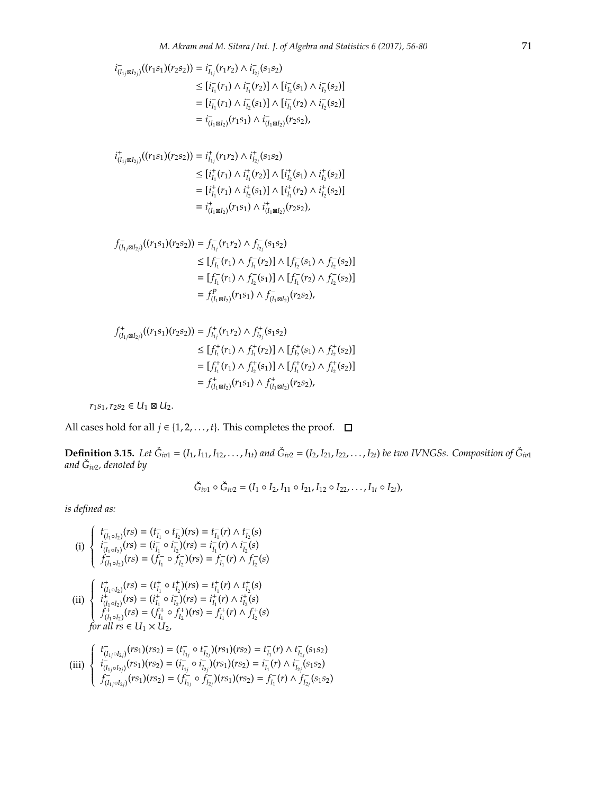$$
i_{(I_1, \boxtimes I_2)}^{-}((r_1s_1)(r_2s_2)) = i_{I_{1j}}^{-}(r_1r_2) \wedge i_{I_{2j}}^{-}(s_1s_2)
$$
  
\n
$$
\leq [i_{I_1}^{-}(r_1) \wedge i_{I_1}^{-}(r_2)] \wedge [i_{I_2}^{-}(s_1) \wedge i_{I_2}^{-}(s_2)]
$$
  
\n
$$
= [i_{I_1}^{-}(r_1) \wedge i_{I_2}^{-}(s_1)] \wedge [i_{I_1}^{-}(r_2) \wedge i_{I_2}^{-}(s_2)]
$$
  
\n
$$
= i_{(I_1 \boxtimes I_2)}^{-}(r_1s_1) \wedge i_{(I_1 \boxtimes I_2)}^{-}(r_2s_2),
$$

$$
\begin{aligned} i^+_{(I_{1j}\boxtimes I_{2j})}((r_1s_1)(r_2s_2))&=i^+_{I_{1j}}(r_1r_2)\wedge i^+_{I_{2j}}(s_1s_2)\\ &\leq [i^+_{I_1}(r_1)\wedge i^+_{I_1}(r_2)]\wedge [i^+_{I_2}(s_1)\wedge i^+_{I_2}(s_2)]\\ &= [i^+_{I_1}(r_1)\wedge i^+_{I_2}(s_1)]\wedge [i^+_{I_1}(r_2)\wedge i^+_{I_2}(s_2)]\\ &=i^+_{(I_1\boxtimes I_2)}(r_1s_1)\wedge i^+_{(I_1\boxtimes I_2)}(r_2s_2), \end{aligned}
$$

$$
f_{(I_{1j}\boxtimes I_{2j})}^{-}(r_{1}s_{1})(r_{2}s_{2})) = f_{I_{1j}}^{-}(r_{1}r_{2}) \wedge f_{I_{2j}}^{-}(s_{1}s_{2})
$$
  
\n
$$
\leq [f_{I_{1}}^{-}(r_{1}) \wedge f_{I_{1}}^{-}(r_{2})] \wedge [f_{I_{2}}^{-}(s_{1}) \wedge f_{I_{2}}^{-}(s_{2})]
$$
  
\n
$$
= [f_{I_{1}}^{-}(r_{1}) \wedge f_{I_{2}}^{-}(s_{1})] \wedge [f_{I_{1}}^{-}(r_{2}) \wedge f_{I_{2}}^{-}(s_{2})]
$$
  
\n
$$
= f_{(I_{1}\boxtimes I_{2})}^{P}(r_{1}s_{1}) \wedge f_{(I_{1}\boxtimes I_{2})}^{-}(r_{2}s_{2}),
$$

$$
f_{(I_{1j}\boxtimes I_{2j})}^{+}((r_{1}s_{1})(r_{2}s_{2})) = f_{I_{1j}}^{+}(r_{1}r_{2}) \wedge f_{I_{2j}}^{+}(s_{1}s_{2})
$$
  
\n
$$
\leq [f_{I_{1}}^{+}(r_{1}) \wedge f_{I_{1}}^{+}(r_{2})] \wedge [f_{I_{2}}^{+}(s_{1}) \wedge f_{I_{2}}^{+}(s_{2})]
$$
  
\n
$$
= [f_{I_{1}}^{+}(r_{1}) \wedge f_{I_{2}}^{+}(s_{1})] \wedge [f_{I_{1}}^{+}(r_{2}) \wedge f_{I_{2}}^{+}(s_{2})]
$$
  
\n
$$
= f_{(I_{1}\boxtimes I_{2})}^{+}(r_{1}s_{1}) \wedge f_{(I_{1}\boxtimes I_{2})}^{+}(r_{2}s_{2}),
$$

 $r_1 s_1, r_2 s_2 \in U_1 \boxtimes U_2.$ 

All cases hold for all *j* ∈ {1, 2, . . . , *t*}. This completes the proof.  $\Box$ 

**Definition 3.15.** Let  $\check{G}_{iv1} = (I_1, I_{11}, I_{12}, \ldots, I_{1t})$  and  $\check{G}_{iv2} = (I_2, I_{21}, I_{22}, \ldots, I_{2t})$  be two IVNGSs. Composition of  $\check{G}_{iv1}$  and  $\check{G}_{iv2}$ , denoted by

$$
\check{G}_{iv1} \circ \check{G}_{iv2} = (I_1 \circ I_2, I_{11} \circ I_{21}, I_{12} \circ I_{22}, \ldots, I_{1t} \circ I_{2t}),
$$

(i) 
$$
\begin{cases}\nt_{(I_1 \circ I_2)}^-(rs) = (t_{I_1}^-\circ t_{I_2}^-(rs) = t_{I_1}^-(r) \wedge t_{I_2}^-(s) \\
i_{(I_1 \circ I_2)}^-(rs) = (i_{I_1}^-\circ i_{I_2}^-(rs) = i_{I_1}^-(r) \wedge i_{I_2}^-(s) \\
f_{(I_1 \circ I_2)}^-(rs) = (f_{I_1}^-\circ f_{I_2}^-(rs) = f_{I_1}^-(r) \wedge f_{I_2}^-(s) \\
(i) \begin{cases}\nt_{(I_1 \circ I_2)}^+(rs) = (t_{I_1}^+\circ t_{I_2}^+)(rs) = t_{I_1}^+(r) \wedge t_{I_2}^+(s) \\
i_{(I_1 \circ I_2)}^+(rs) = (i_{I_1}^+\circ i_{I_2}^+)(rs) = i_{I_1}^+(r) \wedge i_{I_2}^+(s) \\
f_{(I_1 \circ I_2)}^+(rs) = (f_{I_1}^+\circ f_{I_2}^+)(rs) = f_{I_1}^+(r) \wedge f_{I_2}^+(s) \\
for all \space rs \in U_1 \times U_2,\n\end{cases}
$$

(iii) 
$$
\begin{cases}\nt_{(I_{1j} \circ I_{2j})}(rs_1)(rs_2) = (t_{I_{1j}}^- \circ t_{I_{2j}}^-)(rs_1)(rs_2) = t_{I_1}^-(r) \wedge t_{I_{2j}}^-(s_1s_2) \\
i_{(I_{1j} \circ I_{2j})}^-(rs_1)(rs_2) = (i_{I_{1j}}^- \circ i_{I_{2j}}^-)(rs_1)(rs_2) = i_{I_1}^-(r) \wedge i_{I_{2j}}^-(s_1s_2) \\
f_{(I_{1j} \circ I_{2j})}^-(rs_1)(rs_2) = (f_{I_{1j}}^- \circ f_{I_{2j}}^-(rs_1)(rs_2) = f_{I_1}^-(r) \wedge f_{I_{2j}}^-(s_1s_2)\n\end{cases}
$$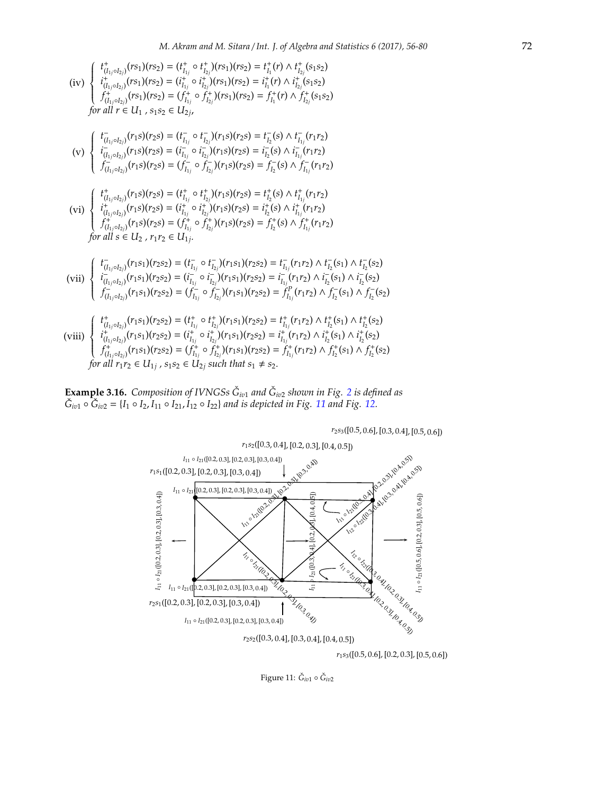(iv)  $\Bigg\{$  $\overline{\mathcal{L}}$  $t^+_{(I_{1j} \circ I_{2j})}(rs_1)(rs_2) = (t^+_{I_{1j}} \circ t^+_{I_{2j}})(rs_1)(rs_2) = t^+_{I_1}(r) \wedge t^+_{I_{2j}}(s_1s_2)$  $i^+_{(I_{1j} \circ I_{2j})}(rs_1)(rs_2) = (i^+_{I_{1j}} \circ i^+_{I_{2j}})(rs_1)(rs_2) = i^+_{I_1}(r) \wedge i^+_{I_{2j}}(s_1s_2)$  $f^+_{(I_{1j}\circ I_{2j})}(rs_1)(rs_2)=(f^+_{I_{1j}}\circ f^+_{I_{2j}})(rs_1)(rs_2)=f^+_{I_1}(r)\wedge f^+_{I_{2j}}(s_1s_2)$ *for all*  $r \in U_1$  ,  $s_1 s_2 \in U_{2j}$ ,

$$
\begin{array}{c}\n\text{(v)}\n\left\{\n\begin{array}{l}\nf_{(I_{1j}\circ I_{2j})}^-(r_1s)(r_2s) = (t_{I_{1j}}^-\circ t_{I_{2j}}^-()(r_1s)(r_2s) = t_{I_2}^-(s) \land t_{I_{1j}}^-(r_1r_2) \\
i_{(I_{1j}\circ I_{2j})}^-(r_1s)(r_2s) = (i_{I_{1j}}^-\circ i_{I_{2j}}^-()(r_1s)(r_2s) = i_{I_2}^-(s) \land i_{I_{1j}}^-(r_1r_2) \\
f_{(I_{1j}\circ I_{2j})}^-(r_1s)(r_2s) = (f_{I_{1j}}^-\circ f_{I_{2j}}^-()(r_1s)(r_2s) = f_{I_2}^-(s) \land f_{I_{1j}}^-(r_1r_2)\n\end{array}\n\right\}\n\end{array}
$$

$$
\text{(vi)} \begin{cases} \ t_{(I_{1j} \circ I_{2j})}^+(r_1s)(r_2s) = (t_{I_{1j}}^+ \circ t_{I_{2j}}^+)(r_1s)(r_2s) = t_{I_2}^+(s) \land t_{I_{1j}}^+(r_1r_2) \\ \ i_{(I_{1j} \circ I_{2j})}^+(r_1s)(r_2s) = (i_{I_{1j}}^+ \circ i_{I_{2j}}^+)(r_1s)(r_2s) = i_{I_2}^+(s) \land i_{I_{1j}}^+(r_1r_2) \\ f_{(I_{1j} \circ I_{2j})}^+(r_1s)(r_2s) = (f_{I_{1j}}^+ \circ f_{I_{2j}}^+)(r_1s)(r_2s) = f_{I_2}^+(s) \land f_{I_{1j}}^+(r_1r_2) \\ \text{for all } s \in U_2 \text{ , } r_1r_2 \in U_{1j}. \end{cases}
$$

$$
\text{(vii)} \begin{cases} \ t^-_{(I_{1j} \circ I_{2j})}(r_1 s_1)(r_2 s_2) = (t^-_{I_{1j}} \circ t^-_{I_{2j}})(r_1 s_1)(r_2 s_2) = t^-_{I_{1j}}(r_1 r_2) \wedge t^-_{I_2}(s_1) \wedge t^-_{I_2}(s_2) \\ \ i^-_{(I_{1j} \circ I_{2j})}(r_1 s_1)(r_2 s_2) = (i^-_{I_{1j}} \circ i^-_{I_{2j}})(r_1 s_1)(r_2 s_2) = i^-_{I_{1j}}(r_1 r_2) \wedge i^-_{I_2}(s_1) \wedge i^-_{I_2}(s_2) \\ f^-_{(I_{1j} \circ I_{2j})}(r_1 s_1)(r_2 s_2) = (f^-_{I_{1j}} \circ f^-_{I_2})(r_1 s_1)(r_2 s_2) = f^P_{I_{1j}}(r_1 r_2) \wedge f^-_{I_2}(s_1) \wedge f^-_{I_2}(s_2) \end{cases}
$$

$$
\text{(viii)} \begin{cases} t_{(I_1 \circ I_{2j})}^+(r_1 s_1)(r_2 s_2) = (t_{I_{1j}}^+ \circ t_{I_{2j}}^+)(r_1 s_1)(r_2 s_2) = t_{I_{1j}}^+(r_1 r_2) \wedge t_{I_2}^+(s_1) \wedge t_{I_2}^+(s_2) \\ i_{(I_{1j} \circ I_{2j})}^+(r_1 s_1)(r_2 s_2) = (i_{I_{1j}}^+ \circ i_{I_{2j}}^+)(r_1 s_1)(r_2 s_2) = i_{I_{1j}}^+(r_1 r_2) \wedge i_{I_2}^+(s_1) \wedge i_{I_2}^+(s_2) \\ f_{(I_{1j} \circ I_{2j})}^+(r_1 s_1)(r_2 s_2) = (f_{I_{1j}}^+ \circ f_{I_{2j}}^+)(r_1 s_1)(r_2 s_2) = f_{I_{1j}}^+(r_1 r_2) \wedge f_{I_2}^+(s_1) \wedge f_{I_2}^+(s_2) \\ \text{for all } r_1 r_2 \in U_{1j}, \ s_1 s_2 \in U_{2j} \text{ such that } s_1 \neq s_2. \end{cases}
$$

**Example 3.16.** Composition of IVNGSs  $\check{G}_{iv1}$  and  $\check{G}_{iv2}$  $\check{G}_{iv2}$  $\check{G}_{iv2}$  shown in Fig. 2 is defined as  $\check{G}_{iv1} \circ \check{G}_{iv2} = \{I_1 \circ I_2, I_{11} \circ I_{21}, I_{12} \circ I_{22}\}$  $\check{G}_{iv1} \circ \check{G}_{iv2} = \{I_1 \circ I_2, I_{11} \circ I_{21}, I_{12} \circ I_{22}\}$  $\check{G}_{iv1} \circ \check{G}_{iv2} = \{I_1 \circ I_2, I_{11} \circ I_{21}, I_{12} \circ I_{22}\}$  *and is depicted in Fig.* 11 *and Fig.* [12.](#page-17-0)



*<sup>r</sup>*1*s*3([0.5, 0.6], [0.2, 0.3], [0.5, 0.6])

<span id="page-16-0"></span>Figure 11: Ğ<sub>iv1</sub> ∘ Ğ<sub>iv2</sub>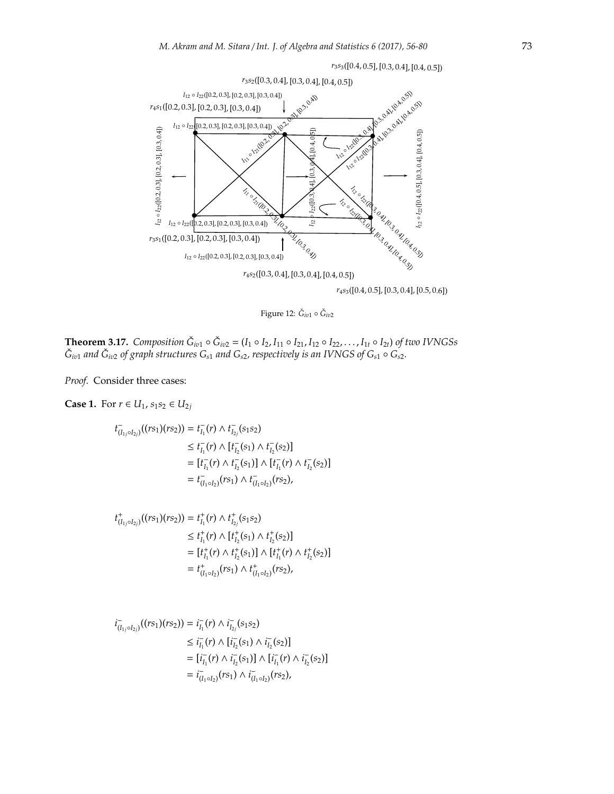

*<sup>r</sup>*3*s*3([0.4, <sup>0</sup>.5], [0.3, <sup>0</sup>.4], [0.4, <sup>0</sup>.5])

<span id="page-17-0"></span>Figure 12: Ğ<sub>iv1</sub> ∘ Ğ<sub>iv2</sub>

**Theorem 3.17.** Composition  $\check{G}_{iv1} \circ \check{G}_{iv2} = (I_1 \circ I_2, I_{11} \circ I_{21}, I_{12} \circ I_{22}, \ldots, I_{1t} \circ I_{2t})$  of two IVNGSs  $\check{G}_{i v 1}$  *and*  $\check{G}_{i v 2}$  *of graph structures*  $G_{s 1}$  *and*  $G_{s 2}$ *, respectively is an IVNGS of*  $G_{s 1} \circ G_{s 2}$ *.* 

*Proof.* Consider three cases:

## **Case 1.** For *r* ∈ *U*<sub>1</sub>, *s*<sub>1</sub>*s*<sub>2</sub> ∈ *U*<sub>2*j*</sub>

$$
t_{(I_{1j} \circ I_{2j})}^{-}(rs_{1})(rs_{2})) = t_{I_{1}}^{-}(r) \wedge t_{I_{2j}}^{-}(s_{1}s_{2})
$$
  
\n
$$
\leq t_{I_{1}}^{-}(r) \wedge [t_{I_{2}}^{-}(s_{1}) \wedge t_{I_{2}}^{-}(s_{2})]
$$
  
\n
$$
= [t_{I_{1}}^{-}(r) \wedge t_{I_{2}}^{-}(s_{1})] \wedge [t_{I_{1}}^{-}(r) \wedge t_{I_{2}}^{-}(s_{2})]
$$
  
\n
$$
= t_{(I_{1} \circ I_{2})}^{-}(rs_{1}) \wedge t_{(I_{1} \circ I_{2})}^{-}(rs_{2}),
$$

$$
t_{(I_{1j} \circ I_{2j})}^{+}((rs_{1})(rs_{2})) = t_{I_{1}}^{+}(r) \wedge t_{I_{2j}}^{+}(s_{1}s_{2})
$$
  
\n
$$
\leq t_{I_{1}}^{+}(r) \wedge [t_{I_{2}}^{+}(s_{1}) \wedge t_{I_{2}}^{+}(s_{2})]
$$
  
\n
$$
= [t_{I_{1}}^{+}(r) \wedge t_{I_{2}}^{+}(s_{1})] \wedge [t_{I_{1}}^{+}(r) \wedge t_{I_{2}}^{+}(s_{2})]
$$
  
\n
$$
= t_{(I_{1} \circ I_{2})}^{+}(rs_{1}) \wedge t_{(I_{1} \circ I_{2})}^{+}(rs_{2}),
$$

$$
i_{(I_{1j} \circ I_{2j})}^-(r s_1)(r s_2)) = i_{I_1}^-(r) \wedge i_{I_{2j}}^-(s_1 s_2)
$$
  
\n
$$
\leq i_{I_1}^-(r) \wedge [i_{I_2}^-(s_1) \wedge i_{I_2}^-(s_2)]
$$
  
\n
$$
= [i_{I_1}^-(r) \wedge i_{I_2}^-(s_1)] \wedge [i_{I_1}^-(r) \wedge i_{I_2}^-(s_2)]
$$
  
\n
$$
= i_{(I_1 \circ I_2)}^-(r s_1) \wedge i_{(I_1 \circ I_2)}^-(r s_2),
$$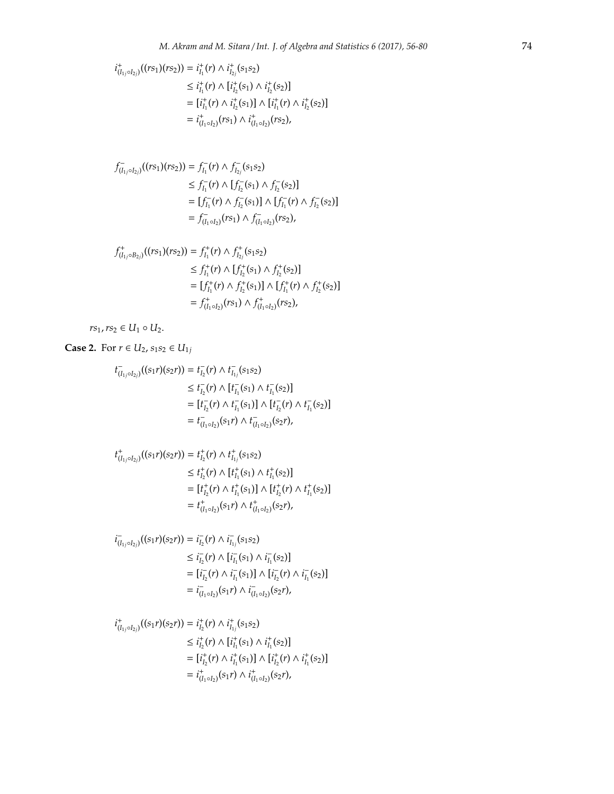$$
i_{(I_{1j} \circ I_{2j})}^*((rs_1)(rs_2)) = i_{I_1}^+(r) \wedge i_{I_{2j}}^+(s_1s_2)
$$
  
\n
$$
\leq i_{I_1}^+(r) \wedge [i_{I_2}^+(s_1) \wedge i_{I_2}^+(s_2)]
$$
  
\n
$$
= [i_{I_1}^+(r) \wedge i_{I_2}^+(s_1)] \wedge [i_{I_1}^+(r) \wedge i_{I_2}^+(s_2)]
$$
  
\n
$$
= i_{(I_1 \circ I_2)}^+(rs_1) \wedge i_{(I_1 \circ I_2)}^+(rs_2),
$$

$$
f_{(I_{1j} \circ I_{2j})}^{-}(rs_{1})(rs_{2})) = f_{I_{1}}^{-}(r) \wedge f_{I_{2j}}^{-}(s_{1}s_{2})
$$
  
\n
$$
\leq f_{I_{1}}^{-}(r) \wedge [f_{I_{2}}^{-}(s_{1}) \wedge f_{I_{2}}^{-}(s_{2})]
$$
  
\n
$$
= [f_{I_{1}}^{-}(r) \wedge f_{I_{2}}^{-}(s_{1})] \wedge [f_{I_{1}}^{-}(r) \wedge f_{I_{2}}^{-}(s_{2})]
$$
  
\n
$$
= f_{(I_{1} \circ I_{2})}^{-}(rs_{1}) \wedge f_{(I_{1} \circ I_{2})}(rs_{2}),
$$

$$
f_{(I_{1j} \circ B_{2j})}^{+}((rs_{1})(rs_{2})) = f_{I_{1}}^{+}(r) \wedge f_{I_{2j}}^{+}(s_{1}s_{2})
$$
  
\n
$$
\leq f_{I_{1}}^{+}(r) \wedge [f_{I_{2}}^{+}(s_{1}) \wedge f_{I_{2}}^{+}(s_{2})]
$$
  
\n
$$
= [f_{I_{1}}^{+}(r) \wedge f_{I_{2}}^{+}(s_{1})] \wedge [f_{I_{1}}^{+}(r) \wedge f_{I_{2}}^{+}(s_{2})]
$$
  
\n
$$
= f_{(I_{1} \circ I_{2})}^{+}(rs_{1}) \wedge f_{(I_{1} \circ I_{2})}^{+}(rs_{2}),
$$

 $rs_1, rs_2 \in U_1 \circ U_2.$ 

**Case 2.** For *r* ∈ *U*<sub>2</sub>, *s*<sub>1</sub>*s*<sub>2</sub> ∈ *U*<sub>1*j*</sub>

$$
t_{(I_{1j} \circ I_{2j})}^{-}(s_{1r})(s_{2r})) = t_{I_{2}}^{-}(r) \wedge t_{I_{1j}}^{-}(s_{1}s_{2})
$$
  
\n
$$
\leq t_{I_{2}}^{-}(r) \wedge [t_{I_{1}}^{-}(s_{1}) \wedge t_{I_{1}}^{-}(s_{2})]
$$
  
\n
$$
= [t_{I_{2}}^{-}(r) \wedge t_{I_{1}}^{-}(s_{1})] \wedge [t_{I_{2}}^{-}(r) \wedge t_{I_{1}}^{-}(s_{2})]
$$
  
\n
$$
= t_{(I_{1} \circ I_{2})}^{-}(s_{1r}) \wedge t_{(I_{1} \circ I_{2})}^{-}(s_{2r}),
$$

$$
\begin{aligned} t^+_{(I_{1j}\circ I_{2j})}((s_1r)(s_2r))&=t^+_{I_2}(r)\wedge t^+_{I_{1j}}(s_1s_2)\\ &\leq t^+_{I_2}(r)\wedge [t^+_{I_1}(s_1)\wedge t^+_{I_1}(s_2)]\\ &= [t^+_{I_2}(r)\wedge t^+_{I_1}(s_1)]\wedge [t^+_{I_2}(r)\wedge t^+_{I_1}(s_2)]\\ &= t^+_{(I_1\circ I_2)}(s_1r)\wedge t^+_{(I_1\circ I_2)}(s_2r), \end{aligned}
$$

$$
i_{(I_{1j} \circ I_{2j})}((s_1r)(s_2r)) = i_{I_2}^-(r) \wedge i_{I_{1j}}^-(s_1s_2)
$$
  
\n
$$
\leq i_{I_2}^-(r) \wedge [i_{I_1}^-(s_1) \wedge i_{I_1}^-(s_2)]
$$
  
\n
$$
= [i_{I_2}^-(r) \wedge i_{I_1}^-(s_1)] \wedge [i_{I_2}^-(r) \wedge i_{I_1}^-(s_2)]
$$
  
\n
$$
= i_{(I_1 \circ I_2)}^-(s_1r) \wedge i_{(I_1 \circ I_2)}^-(s_2r),
$$

$$
\begin{aligned} i^+_{(I_{1j}\circ I_{2j})}((s_1r)(s_2r))&=i^+_{I_2}(r)\wedge i^+_{I_{1j}}(s_1s_2)\\ &\leq i^+_{I_2}(r)\wedge [i^+_{I_1}(s_1)\wedge i^+_{I_1}(s_2)]\\ &= [i^+_{I_2}(r)\wedge i^+_{I_1}(s_1)]\wedge [i^+_{I_2}(r)\wedge i^+_{I_1}(s_2)]\\ &=i^+_{(I_1\circ I_2)}(s_1r)\wedge i^+_{(I_1\circ I_2)}(s_2r), \end{aligned}
$$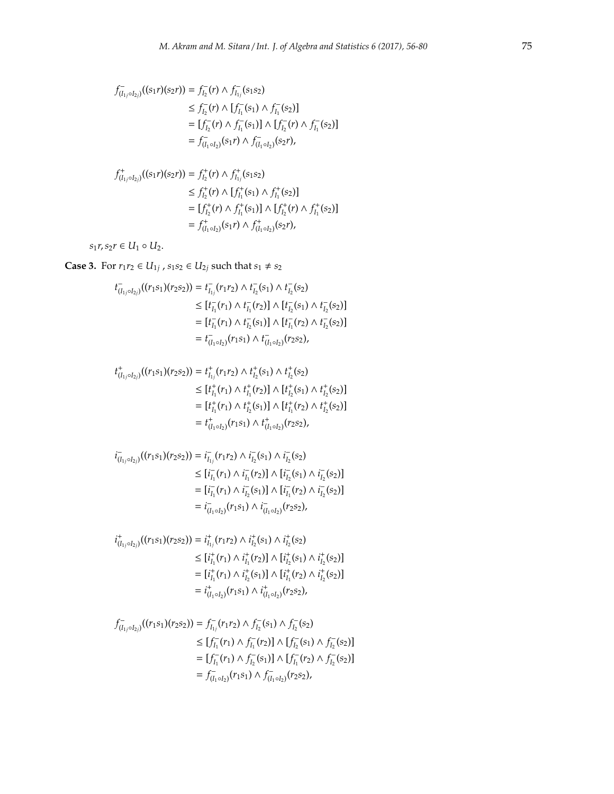$$
f_{(I_{1j} \circ I_{2j})}((s_1 r)(s_2 r)) = f_{I_2}^-(r) \wedge f_{I_{1j}}^-(s_1 s_2)
$$
  
\n
$$
\leq f_{I_2}^-(r) \wedge [f_{I_1}^-(s_1) \wedge f_{I_1}^-(s_2)]
$$
  
\n
$$
= [f_{I_2}^-(r) \wedge f_{I_1}^-(s_1)] \wedge [f_{I_2}^-(r) \wedge f_{I_1}^-(s_2)]
$$
  
\n
$$
= f_{(I_1 \circ I_2)}^-(s_1 r) \wedge f_{(I_1 \circ I_2)}^-(s_2 r),
$$

$$
f_{(I_{1j} \circ I_{2j})}^{+}((s_{1}r)(s_{2}r)) = f_{I_{2}}^{+}(r) \wedge f_{I_{1j}}^{+}(s_{1}s_{2})
$$
  
\n
$$
\leq f_{I_{2}}^{+}(r) \wedge [f_{I_{1}}^{+}(s_{1}) \wedge f_{I_{1}}^{+}(s_{2})]
$$
  
\n
$$
= [f_{I_{2}}^{+}(r) \wedge f_{I_{1}}^{+}(s_{1})] \wedge [f_{I_{2}}^{+}(r) \wedge f_{I_{1}}^{+}(s_{2})]
$$
  
\n
$$
= f_{(I_{1} \circ I_{2})}^{+}(s_{1}r) \wedge f_{(I_{1} \circ I_{2})}^{+}(s_{2}r),
$$

 $s_1r, s_2r \in U_1 \circ U_2.$ 

**Case 3.** For  $r_1r_2$  ∈  $U_{1j}$ ,  $s_1s_2$  ∈  $U_{2j}$  such that  $s_1 ≠ s_2$ 

$$
\begin{aligned} t_{(I_{1j}\circ I_{2j})}^-(r_1s_1)(r_2s_2))&=t_{I_{1j}}^-(r_1r_2)\wedge t_{I_2}^-(s_1)\wedge t_{I_2}^-(s_2)\\ &\leq [t_{I_1}^-(r_1)\wedge t_{I_1}^-(r_2)]\wedge [t_{I_2}^-(s_1)\wedge t_{I_2}^-(s_2)]\\ &= [t_{I_1}^-(r_1)\wedge t_{I_2}^-(s_1)]\wedge [t_{I_1}^-(r_2)\wedge t_{I_2}^-(s_2)]\\ &= t_{(I_1\circ I_2)}^-(r_1s_1)\wedge t_{(I_1\circ I_2)}^-(r_2s_2), \end{aligned}
$$

$$
t^+_{(I_{1j} \circ I_{2j})}((r_1s_1)(r_2s_2)) = t^+_{I_{1j}}(r_1r_2) \wedge t^+_{I_2}(s_1) \wedge t^+_{I_2}(s_2)
$$
  
\n
$$
\leq [t^+_{I_1}(r_1) \wedge t^+_{I_1}(r_2)] \wedge [t^+_{I_2}(s_1) \wedge t^+_{I_2}(s_2)]
$$
  
\n
$$
= [t^+_{I_1}(r_1) \wedge t^+_{I_2}(s_1)] \wedge [t^+_{I_1}(r_2) \wedge t^+_{I_2}(s_2)]
$$
  
\n
$$
= t^+_{(I_1 \circ I_2)}(r_1s_1) \wedge t^+_{(I_1 \circ I_2)}(r_2s_2),
$$

$$
i_{(I_{1j} \circ I_{2j})}^{-}(r_{1} s_{1})(r_{2} s_{2})) = i_{I_{1j}}^{-}(r_{1} r_{2}) \wedge i_{I_{2}}^{-}(s_{1}) \wedge i_{I_{2}}^{-}(s_{2})
$$
  
\n
$$
\leq [i_{I_{1}}^{-}(r_{1}) \wedge i_{I_{1}}^{-}(r_{2})] \wedge [i_{I_{2}}^{-}(s_{1}) \wedge i_{I_{2}}^{-}(s_{2})]
$$
  
\n
$$
= [i_{I_{1}}^{-}(r_{1}) \wedge i_{I_{2}}^{-}(s_{1})] \wedge [i_{I_{1}}^{-}(r_{2}) \wedge i_{I_{2}}^{-}(s_{2})]
$$
  
\n
$$
= i_{(I_{1} \circ I_{2})}^{-}(r_{1} s_{1}) \wedge i_{(I_{1} \circ I_{2})}^{-}(r_{2} s_{2}),
$$

$$
\begin{aligned} i^+_{(I_{1j}\circ I_{2j})}((r_1s_1)(r_2s_2))&=i^+_{I_{1j}}(r_1r_2)\wedge i^+_{I_2}(s_1)\wedge i^+_{I_2}(s_2)\\ &\leq [i^+_{I_1}(r_1)\wedge i^+_{I_1}(r_2)]\wedge [i^+_{I_2}(s_1)\wedge i^+_{I_2}(s_2)]\\ &= [i^+_{I_1}(r_1)\wedge i^+_{I_2}(s_1)]\wedge [i^+_{I_1}(r_2)\wedge i^+_{I_2}(s_2)]\\ &=i^+_{(I_1\circ I_2)}(r_1s_1)\wedge i^+_{(I_1\circ I_2)}(r_2s_2), \end{aligned}
$$

$$
f_{(I_1 \circ I_2)}^{-}(r_1 s_1)(r_2 s_2)) = f_{I_{1j}}^{-}(r_1 r_2) \wedge f_{I_2}^{-}(s_1) \wedge f_{I_2}^{-}(s_2)
$$
  
\n
$$
\leq [f_{I_1}^{-}(r_1) \wedge f_{I_1}^{-}(r_2)] \wedge [f_{I_2}^{-}(s_1) \wedge f_{I_2}^{-}(s_2)]
$$
  
\n
$$
= [f_{I_1}^{-}(r_1) \wedge f_{I_2}^{-}(s_1)] \wedge [f_{I_1}^{-}(r_2) \wedge f_{I_2}^{-}(s_2)]
$$
  
\n
$$
= f_{(I_1 \circ I_2)}^{-}(r_1 s_1) \wedge f_{(I_1 \circ I_2)}^{-}(r_2 s_2),
$$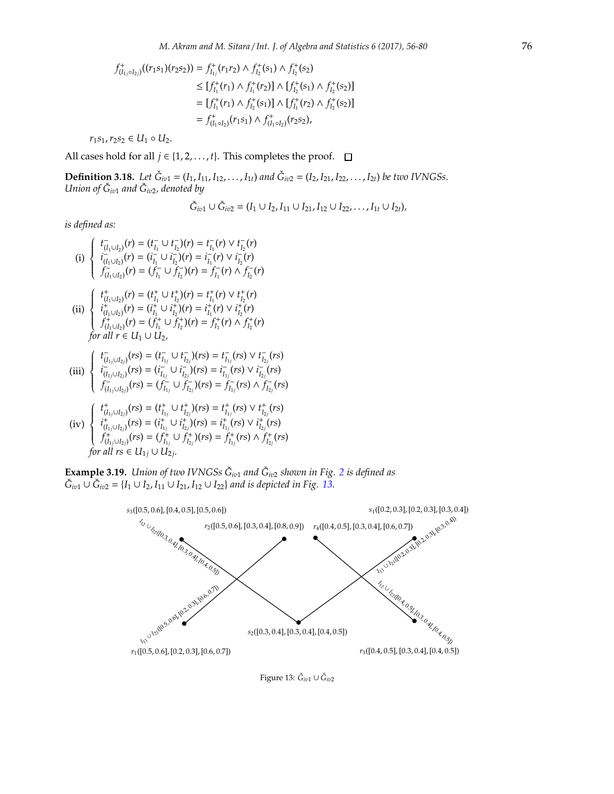$$
f_{(I_1, \circ I_2)}^+(r_1s_1)(r_2s_2)) = f_{I_{1j}}^+(r_1r_2) \wedge f_{I_2}^+(s_1) \wedge f_{I_2}^+(s_2)
$$
  
\n
$$
\leq [f_{I_1}^+(r_1) \wedge f_{I_1}^+(r_2)] \wedge [f_{I_2}^+(s_1) \wedge f_{I_2}^+(s_2)]
$$
  
\n
$$
= [f_{I_1}^+(r_1) \wedge f_{I_2}^+(s_1)] \wedge [f_{I_1}^+(r_2) \wedge f_{I_2}^+(s_2)]
$$
  
\n
$$
= f_{(I_1 \circ I_2)}^+(r_1s_1) \wedge f_{(I_1 \circ I_2)}^+(r_2s_2),
$$

 $r_1s_1, r_2s_2$  ∈  $U_1$  ◦  $U_2$ .

<span id="page-20-1"></span>All cases hold for all  $j \in \{1, 2, ..., t\}$ . This completes the proof.  $\Box$ 

**Definition 3.18.** Let  $\check{G}_{iv1} = (I_1, I_{11}, I_{12}, \ldots, I_{1t})$  and  $\check{G}_{iv2} = (I_2, I_{21}, I_{22}, \ldots, I_{2t})$  be two IVNGSs. *Union of G*ˇ *iv*<sup>1</sup> *and G*ˇ *iv*2*, denoted by*

$$
\check{G}_{iv1} \cup \check{G}_{iv2} = (I_1 \cup I_2, I_{11} \cup I_{21}, I_{12} \cup I_{22}, \ldots, I_{1t} \cup I_{2t}),
$$

*is defined as:*

(i) 
$$
\begin{cases} t_{(I_1 \cup I_2)}^-(r) = (t_{I_1}^-\cup t_{I_2}^-(r)) = t_{I_1}^-(r) \vee t_{I_2}^-(r) \\ i_{(I_1 \cup I_2)}^-(r) = (i_{I_1}^-\cup i_{I_2}^-(r)) = i_{I_1}^-(r) \vee i_{I_2}^-(r) \\ f_{(I_1 \cup I_2)}^-(r) = (f_{I_1}^-\cup f_{I_2}^-(r)) = f_{I_1}^-(r) \wedge f_{I_2}^-(r) \end{cases}
$$

(ii) 
$$
\begin{cases} t_{(I_1 \cup I_2)}^+(r) = (t_{I_1}^+ \cup t_{I_2}^+)(r) = t_{I_1}^+(r) \vee t_{I_2}^+(r) \\ t_{(I_1 \cup I_2)}^+(r) = (i_{I_1}^+ \cup i_{I_2}^+)(r) = i_{I_1}^+(r) \vee i_{I_2}^+(r) \\ f_{(I_1 \cup I_2)}^+(r) = (f_{I_1}^+ \cup f_{I_2}^+)(r) = f_{I_1}^+(r) \wedge f_{I_2}^+(r) \\ \text{for all } r \in U_1 \cup U_2, \end{cases}
$$

$$
\begin{cases}\nt_{(I_{1j}\cup I_{2j})}^-(rs)=(t_{I_{1j}}^-\cup t_{I_{2j}}^*)(rs)=t_{I_{1j}}^-(rs)\vee t_{I_{2j}}^-(rs) \\
i_{I_{n+1,I_{n}}}(rs)=(i_{I_{n}}^-\cup i_{I_{n}}^*)(rs)=i_{I_{n}}^-(rs)\vee i_{I_{n}}^-(rs)\n\end{cases}
$$

(iii) 
$$
\begin{cases}\n i_{(l_1j\cup l_{2j})}(rs) = (i_{l_1j}^r \cup i_{l_2j}^r)(rs) = i_{l_1j}^r (rs) \vee i_{l_2j}^r (rs) \\
 i_{(l_1j\cup l_{2j})}^r (rs) = (i_{l_1j}^r \cup i_{l_2j}^r)(rs) = i_{l_1j}^r (rs) \vee i_{l_2j}^r (rs) \\
 f_{(l_1j\cup l_{2j})}^r (rs) = (f_{l_1j}^r \cup f_{l_2j}^r)(rs) = f_{l_1j}^r (rs) \wedge f_{l_2j}^r (rs)\n\end{cases}
$$

$$
\text{(iv)}\begin{cases} \ t_{(I_{1j}\cup I_{2j})}^+(rs)=(t_{I_{1j}}^+\cup t_{I_{2j}}^+)(rs)=t_{I_{1j}}^+(rs)\vee t_{I_{2j}}^+(rs)\\ \ i_{(I_{1j}\cup I_{2j})}^+(rs)=(i_{I_{1j}}^+\cup i_{I_{2j}}^+)(rs)=i_{I_{1j}}^+(rs)\vee i_{I_{2j}}^+(rs)\\ \ f_{(I_{1j}\cup I_{2j})}^+(rs)=(f_{I_{1j}}^+\cup f_{I_{2j}}^+)(rs)=f_{I_{1j}}^+(rs)\wedge f_{I_{2j}}^+(rs)\\ \text{for all }rs\in U_{1j}\cup U_{2j}. \end{cases}
$$

**Example 3.19.** Union of two IVNGSs  $\check{G}_{iv1}$  and  $\check{G}_{iv2}$  $\check{G}_{iv2}$  $\check{G}_{iv2}$  shown in Fig. 2 is defined as  $\check{G}_{iv1}$  ∪  $\check{G}_{iv2}$  = {*I*<sub>1</sub> ∪ *I*<sub>2</sub>, *I*<sub>11</sub> ∪ *I*<sub>21</sub>, *I*<sub>12</sub> ∪ *I*<sub>22</sub>} *and is depicted in Fig.* [13.](#page-20-0)



<span id="page-20-0"></span>Figure 13: *Ğ<sub>iv1</sub>* ∪ *Ğ<sub>iv2</sub>*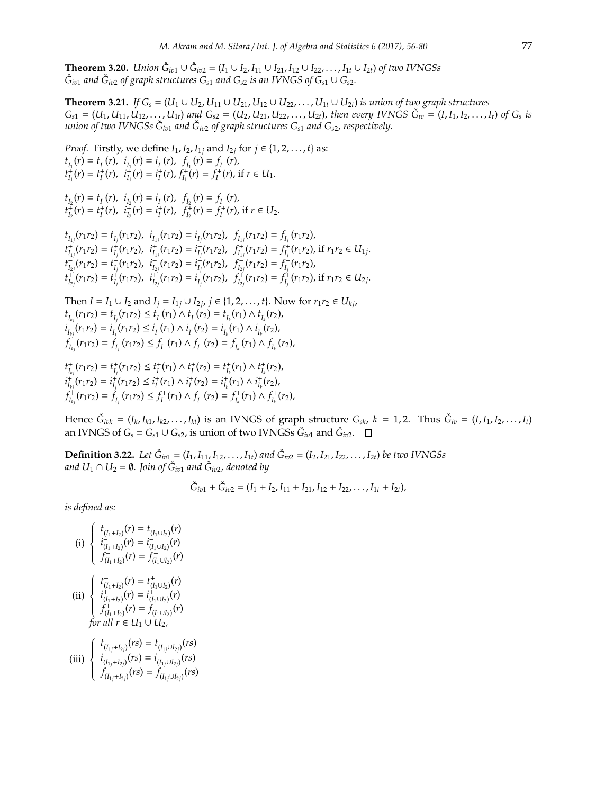**Theorem 3.20.** *Union*  $\check{G}_{iv1} \cup \check{G}_{iv2} = (I_1 \cup I_2, I_{11} \cup I_{21}, I_{12} \cup I_{22}, \ldots, I_{1t} \cup I_{2t})$  *of two IVNGSs*  $\check{G}_{i v 1}$  *and*  $\check{G}_{i v 2}$  *of graph structures*  $G_{s 1}$  *<i>and*  $G_{s 2}$  *is an IVNGS of*  $G_{s 1} \cup G_{s 2}$ *.* 

**Theorem 3.21.** *If*  $G_s$  = ( $U_1 ∪ U_2$ ,  $U_{11} ∪ U_{21}$ ,  $U_{12} ∪ U_{22}$ , . . . ,  $U_{1t} ∪ U_{2t}$ ) *is union of two graph structures*  $G_{s1} = (U_1, U_{11}, U_{12}, \ldots, U_{1t})$  and  $G_{s2} = (U_2, U_{21}, U_{22}, \ldots, U_{2t})$ , then every IVNGS  $\check{G}_{iv} = (I, I_1, I_2, \ldots, I_t)$  of  $G_s$  is  $u$ nion of two IVNGSs  $\check{G}_{i v 1}$  and  $\check{G}_{i v 2}$  of graph structures  $G_{s 1}$  and  $G_{s 2}$ , respectively.

*Proof.* Firstly, we define  $I_1$ ,  $I_2$ ,  $I_{1j}$  and  $I_{2j}$  for  $j \in \{1, 2, ..., t\}$  as:  $t_{I_1}^-(r) = t_I^-(r)$ ,  $i_{I_1}^-(r) = i_I^-(r)$ ,  $f_{I_1}^-(r) = f_I^-(r)$ ,  $t_{I_1}^+(r) = t_I^+(r)$ ,  $i_{I_1}^+(r) = i_I^+(r)$ ,  $f_{I_1}^+(r) = f_I^+(r)$ , if  $r \in U_1$ .

 $t_{I_2}^-(r) = t_I^-(r)$ ,  $i_{I_2}^-(r) = i_I^-(r)$ ,  $f_{I_2}^-(r) = f_I^-(r)$ ,  $t_{I_2}^{\tilde{+}}(r) = t_I^+(r)$ ,  $t_{I_2}^{\tilde{+}}(r) = i_I^+(r)$ ,  $f_{I_2}^{\tilde{+}}(r) = f_I^+(r)$ , if  $r \in U_2$ .

 $t_{I_{1j}}^-(r_1r_2) = t_{I_j}^-(r_1r_2), \ \ i_{I_{1j}}^-(r_1r_2) = t_{I_j}^-(r_1r_2), \ \ f_{I_{1j}}^-(r_1r_2) = f_{I_j}^-(r_1r_2),$  $t_{I_{1j}}^+(r_1r_2) = t_{I_{j}}^+(r_1r_2), \ \ i_{I_{1j}}^+(r_1r_2) = i_{I_{j}}^+(r_1r_2), \ \ f_{I_{1j}}^+(r_1r_2) = f_{I_{j}}^+(r_1r_2),$  if  $r_1r_2 \in U_{1j}$ .  $t_{I_{2j}}^-(r_1r_2) = t_{I_j}^-(r_1r_2), t_{I_{2j}}^-(r_1r_2) = t_{I_j}^-(r_1r_2), t_{I_{2j}}^-(r_1r_2) = f_{I_j}^-(r_1r_2),$  $t_{I_{2j}}^+(r_1r_2) = t_{I_j}^+(r_1r_2), \ \ i_{I_{2j}}^+(r_1r_2) = i_{I_j}^+(r_1r_2), \ \ f_{I_{2j}}^+(r_1r_2) = f_{I_j}^+(r_1r_2),$  if  $r_1r_2 \in U_{2j}$ .

Then *I* = *I*<sub>1</sub> ∪ *I*<sub>2</sub> and *I*<sub>*j*</sub> = *I*<sub>1*j*</sub> ∪ *I*<sub>2*j*</sub>, *j* ∈ {1, 2, . . . , *t*}. Now for *r*<sub>1</sub>*r*<sub>2</sub> ∈ *U*<sub>*kj*</sub>,  $t_{I_{kj}}^-(r_1r_2) = t_{I_j}^-(r_1r_2) \leq t_I^-(r_1) \wedge t_I^-(r_2) = t_{I_k}^-(r_1) \wedge t_{I_k}^-(r_2),$  $i_{I_{kj}}^-(r_1r_2) = i_{I_j}^-(r_1r_2) \leq i_I^-(r_1) \wedge i_I^-(r_2) = i_{I_k}^-(r_1) \wedge i_{I_k}^-(r_2)$  $f_{I_{kj}}^{\perp}(r_1r_2) = f_{I_j}^{\perp}(r_1r_2) \leq f_I^{\perp}(r_1) \wedge f_I^{\perp}(r_2) = f_{I_k}^{\perp}(r_1) \wedge f_{I_k}^{\perp}(r_2),$ 

 $t_{I_{k_i}}^+(r_1r_2) = t_{I_j}^+(r_1r_2) \leq t_I^+(r_1) \wedge t_I^+(r_2) = t_{I_k}^+(r_1) \wedge t_{I_k}^+(r_2),$  $i_{I_{kj}}^+(r_1r_2) = i_{I_j}^+(r_1r_2) \leq i_I^+(r_1) \wedge i_I^+(r_2) = i_{I_k}^+(r_1) \wedge i_{I_k}^+(r_2)$  $f_{I_{kj}}^+(r_1r_2) = f_{I_j}^+(r_1r_2) \leq f_I^+(r_1) \wedge f_I^+(r_2) = f_{I_k}^+(r_1) \wedge f_{I_k}^+(r_2),$ 

Hence  $\check{G}_{ivk}=(I_k,I_{k1},I_{k2},\ldots,I_{kt})$  is an IVNGS of graph structure  $G_{sk}$ ,  $k=1,2$ . Thus  $\check{G}_{iv}=(I,I_1,I_2,\ldots,I_t)$ an IVNGS of  $G_s = G_{s1} \cup G_{s2}$ , is union of two IVNGSs  $\check{G}_{iv1}$  and  $\check{G}_{iv2}$ .

<span id="page-21-0"></span>**Definition 3.22.** Let  $\check{G}_{iv1} = (I_1, I_{11}, I_{12}, \ldots, I_{1t})$  and  $\check{G}_{iv2} = (I_2, I_{21}, I_{22}, \ldots, I_{2t})$  be two IVNGSs *and U*<sub>1</sub> ∩  $U_2 = ∅$ . Join of  $\check{G}_{iv1}$  and  $\check{G}_{iv2}$ , denoted by

$$
\check{G}_{iv1} + \check{G}_{iv2} = (I_1 + I_2, I_{11} + I_{21}, I_{12} + I_{22}, \ldots, I_{1t} + I_{2t}),
$$

(i) 
$$
\begin{cases} t_{(I_1+I_2)}^-(r) = t_{(I_1 \cup I_2)}^-(r) \\ i_{(I_1+I_2)}^-(r) = i_{(I_1 \cup I_2)}^-(r) \\ f_{(I_1+I_2)}^-(r) = f_{(I_1 \cup I_2)}^-(r) \end{cases}
$$
  
\n(ii) 
$$
\begin{cases} t_{(I_1+I_2)}^+(r) = t_{(I_1 \cup I_2)}^+(r) \\ i_{(I_1+I_2)}^+(r) = i_{(I_1 \cup I_2)}^+(r) \\ f_{(I_1+I_2)}^+(r) = f_{(I_1 \cup I_2)}^+(r) \end{cases}
$$
  
\nfor all  $r \in U_1 \cup U_2$ ,  
\n
$$
\begin{cases} t_{(I_1+I_2)}^-(rs) = t_{(I_1 \cup I_2)}^-(rs) \end{cases}
$$

(iii) 
$$
\begin{cases} \begin{array}{c} \begin{array}{c} \begin{array}{c} \begin{array}{c} \begin{array}{c} \end{array}\\ \end{array}\\ \begin{array}{c} \end{array}\\ \begin{array}{c} \end{array}\\ \end{array}\\ \begin{array}{c} \end{array}\\ \end{cases}\\ \begin{array}{c} \begin{array}{c} \end{array}\\ \end{array}\\ \begin{array}{c} \end{array}\\ \end{cases}\\ \begin{array}{c} \begin{array}{c} \begin{array}{c} \end{array}\\ \end{array}\\ \begin{array}{c} \end{array}\\ \end{array}\\ \begin{array}{c} \end{array}\\ \end{cases}\\ \begin{array}{c} \begin{array}{c} \begin{array}{c} \end{array}\\ \end{array}\\ \begin{array}{c} \end{array}\\ \end{array}\\ \end{cases}\\ \begin{array}{c} \end{array}\\ \begin{array}{c} \end{array}\\ \begin{array}{c} \end{array}\\ \end{cases}\\ \begin{array}{c} \end{array}\\ \begin{array}{c} \end{array}\\ \end{cases}\\ \begin{array}{c} \begin{array}{c} \end{array}\\ \end{array}\\ \begin{array}{c} \end{array}\\ \end{cases}\\ \begin{array}{c} \end{array}\\ \begin{array}{c} \end{array}\\ \begin{array}{c} \end{array}\\ \begin{array}{c} \end{array}\\ \end{array}\\ \begin{array}{c} \end{array}\\ \begin{array}{c} \end{array}\\ \end{array}\\ \begin{array}{c} \end{array}\\ \begin{array}{c} \end{array}\\ \end{cases}\\ \begin{array}{c} \end{array}\\ \begin{array}{c} \end{array}\\ \begin{array}{c} \end{array}\\ \begin{array}{c} \end{array}\\ \begin{array}{c} \end{array}\\ \begin{array}{c} \end{array}\\ \begin{array}{c} \end{array}\\ \begin{array}{c} \end{array}\\ \begin{array}{c} \end{array}\\ \begin{array}{c} \end{array}\\ \begin{array}{c} \end{array}\\ \begin{array}{c} \end{array}\\ \begin{array}{c} \end{array}\\ \begin{array}{c} \end{array}\\ \begin{array}{c} \end{array}\\ \begin{array}{c} \end{array}\\ \begin{array}{c} \end{array}\\ \begin{array}{c} \end{array}\\ \begin{array}{c} \end{array}\\ \begin{array}{c} \end{array}\\ \begin{array}{c} \end{array}\\ \begin{array}{c} \end{array}\\ \begin{array}{c} \end{array}\\ \begin{array
$$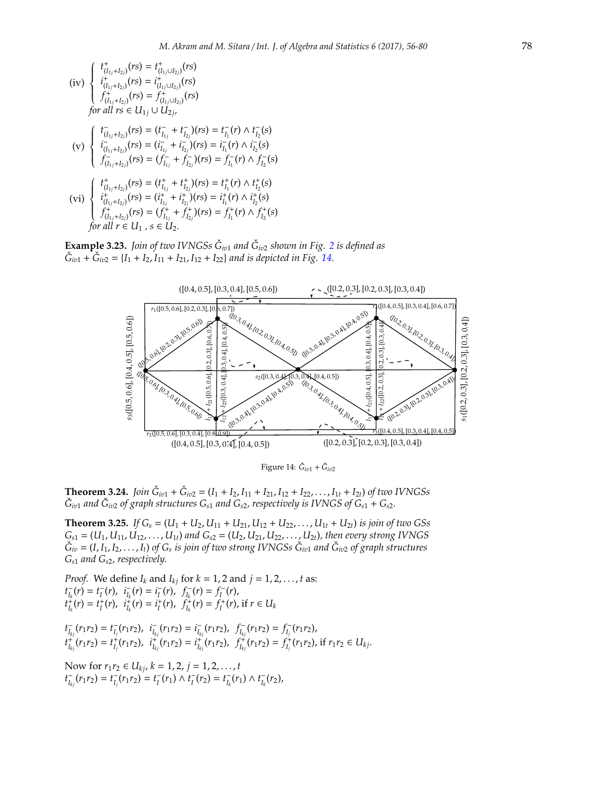$$
\begin{array}{l}\n\text{(iv)} \begin{cases}\nt^+_{(I_{1j}+I_{2j})}(rs) = t^+_{(I_{1j}\cup I_{2j})}(rs) \\
i^+_{(I_{1j}+I_{2j})}(rs) = i^+_{(I_{1j}\cup I_{2j})}(rs) \\
f^+_{(I_{1j}+I_{2j})}(rs) = f^+_{(I_{1j}\cup I_{2j})}(rs) \\
\text{for all } rs \in U_{1j} \cup U_{2j},\n\end{cases} \\
\text{(v)} \begin{cases}\nt^+_{(I_{1j}+I_{2j})}(rs) = (t^-_{I_{1j}} + t^-_{I_{2j}})(rs) = t^-_{I_{1}}(r) \land t^-_{I_{2}}(s) \\
i^-_{(I_{1j}+I_{2j})}(rs) = (i^-_{I_{1j}} + i^-_{I_{2j}})(rs) = i^-_{I_{1}}(r) \land i^-_{I_{2}}(s) \\
f^-_{(I_{1j}+I_{2j})}(rs) = (f^-_{I_{1j}} + f^-_{I_{2j}})(rs) = f^-_{I_{1}}(r) \land f^-_{I_{2}}(s)\n\end{cases} \\
\text{(vi)} \begin{cases}\nt^+_{(I_{1j}+I_{2j})}(rs) = (t^+_{I_{1j}} + t^+_{I_{2j}})(rs) = t^+_{I_{1}}(r) \land t^+_{I_{2}}(s) \\
i^+_{(I_{1j}+I_{2j})}(rs) = (t^+_{I_{1j}} + t^+_{I_{2j}})(rs) = t^+_{I_{1}}(r) \land i^+_{I_{2}}(s) \\
f^+_{(I_{1j}+I_{2j})}(rs) = (f^+_{I_{1j}} + f^+_{I_{2j}})(rs) = f^+_{I_{1}}(r) \land f^+_{I_{2}}(s) \\
f^-_{(I_{1j}+I_{2j})}(rs) = (f^+_{I_{1j}} + f^+_{I_{2j}})(rs) = f^-_{I_{1}}(r) \land f^+_{I_{2}}(s) \\
\text{for all } r \in U_1, s \in U_2.\n\end{cases}\n\end{cases}
$$

**Example 3.[2](#page-5-0)3.** Join of two IVNGSs  $\check{G}_{iv1}$  and  $\check{G}_{iv2}$  shown in Fig. 2 is defined as  $\check{G}_{iv1} + \check{G}_{iv2} = \{I_1 + I_2, I_{11} + I_{21}, I_{12} + I_{22}\}\$  *and is depicted in Fig.* [14.](#page-22-0)



<span id="page-22-0"></span>Figure 14:  $\check{G}_{iv1} + \check{G}_{iv2}$ 

**Theorem 3.24.** *Join*  $\check{G}_{iv1} + \check{G}_{iv2} = (I_1 + I_2, I_{11} + I_{21}, I_{12} + I_{22}, \ldots, I_{1t} + I_{2t})$  *of two IVNGSs*  $\check{G}_{i\sigma1}$  *and*  $\check{G}_{i\sigma2}$  *of graph structures*  $G_{s1}$  *<i>and*  $G_{s2}$ *, respectively is IVNGS of*  $G_{s1}$  *+*  $G_{s2}$ *.* 

**Theorem 3.25.** *If*  $G_s = (U_1 + U_2, U_{11} + U_{21}, U_{12} + U_{22}, \ldots, U_{1t} + U_{2t})$  *is join of two GSs*  $G_{s1} = (U_1, U_{11}, U_{12}, \ldots, U_{1t})$  and  $G_{s2} = (U_2, U_{21}, U_{22}, \ldots, U_{2t})$ , then every strong IVNGS  $\check{G}_{iv} = (I, I_1, I_2, \ldots, I_t)$  of  $G_s$  is join of two strong IVNGSs  $\check{G}_{iv1}$  and  $\check{G}_{iv2}$  of graph structures *Gs*<sup>1</sup> *and Gs*2*, respectively.*

*Proof.* We define  $I_k$  and  $I_{kj}$  for  $k = 1, 2$  and  $j = 1, 2, \ldots, t$  as:  $t_{I_k}^-(r) = t_I^-(r)$ ,  $i_{I_k}^-(r) = i_I^-(r)$ ,  $f_{I_k}^-(r) = f_I^-(r)$ ,  $t_{I_k}^{\hat{+}}(r) = t_I^+(r)$ ,  $i_{I_k}^{\hat{+}}(r) = i_I^+(r)$ ,  $f_{I_k}^{\hat{+}}(r) = f_I^+(r)$ , if  $r \in U_k$ −

$$
\begin{aligned}\nt_{I_{k_j}}^-(r_1r_2) &= t_{I_j}^-(r_1r_2), \quad i_{I_{k_j}}^-(r_1r_2) = i_{I_{k_j}}^-(r_1r_2), \quad f_{I_{k_j}}^-(r_1r_2) = f_{I_j}^-(r_1r_2), \\
t_{I_{k_j}}^+(r_1r_2) &= t_{I_j}^+(r_1r_2), \quad i_{I_{k_j}}^+(r_1r_2) = i_{I_{k_j}}^+(r_1r_2), \quad f_{I_{k_j}}^+(r_1r_2) = f_{I_j}^+(r_1r_2), \text{ if } r_1r_2 \in U_{k_j}.\n\end{aligned}
$$

Now for  $r_1r_2 \in U_{kj}$ ,  $k = 1, 2, j = 1, 2, ..., t$  $t_{I_{kj}}^-(r_1r_2) = t_{I_j}^-(r_1r_2) = t_I^-(r_1) \wedge t_I^-(r_2) = t_{I_k}^-(r_1) \wedge t_{I_k}^-(r_2),$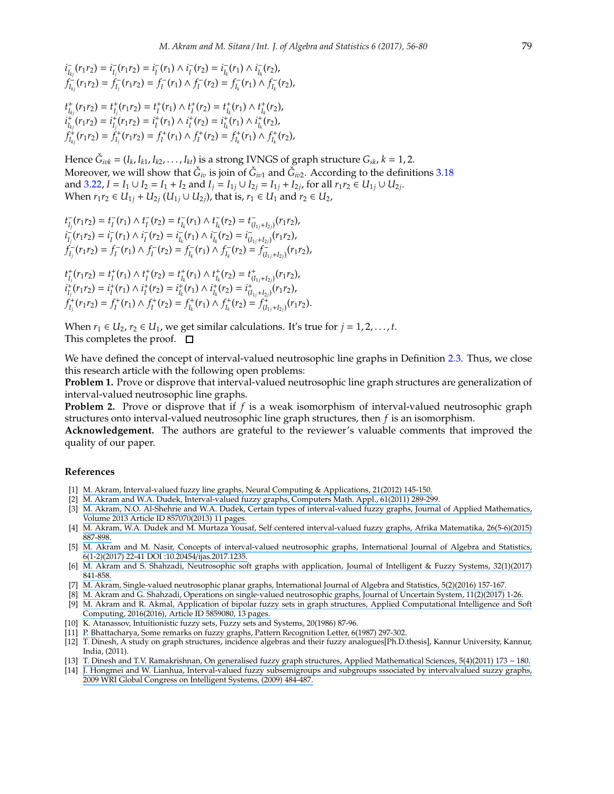$i_{I_{kj}}^-(r_1r_2) = i_{I_j}^-(r_1r_2) = i_I^-(r_1) \wedge i_I^-(r_2) = i_{I_k}^-(r_1) \wedge i_{I_k}^-(r_2)$  $f_{I_{kj}}^-(r_1r_2) = f_{I_j}^-(r_1r_2) = f_I^-(r_1) \wedge f_I^-(r_2) = f_{I_k}^-(r_1) \wedge f_{I_k}^-(r_2),$ 

 $t_{I_{kj}}^+(r_1r_2) = t_{I_j}^+(r_1r_2) = t_{I}^+(r_1) \wedge t_{I}^+(r_2) = t_{I_k}^+(r_1) \wedge t_{I_k}^+(r_2),$  $i_{I_{kj}}^+(r_1r_2) = i_{I_j}^+(r_1r_2) = i_I^+(r_1) \wedge i_I^+(r_2) = i_{I_k}^+(r_1) \wedge i_{I_k}^+(r_2)$  $f_{I_{kj}}^+(r_1r_2) = f_{I_j}^+(r_1r_2) = f_I^+(r_1) \wedge f_I^+(r_2) = f_{I_k}^+(r_1) \wedge f_{I_k}^+(r_2),$ 

Hence  $\check{G}_{i\bar{\nu}k} = (I_k, I_{k1}, I_{k2}, \ldots, I_{kt})$  is a strong IVNGS of graph structure  $G_{sk}$ ,  $k = 1, 2$ . Moreover, we will show that  $\check{G}_{iv}$  is join of  $\check{G}_{iv1}$  and  $\check{G}_{iv2}$ . According to the definitions [3.18](#page-20-1) and [3.22,](#page-21-0)  $I = I_1 \cup I_2 = I_1 + I_2$  and  $I_j = I_{1j} \cup I_{2j} = I_{1j} + I_{2j}$ , for all  $r_1r_2 \in U_{1j} \cup U_{2j}$ . *When*  $r_1r_2 \in U_{1j} + U_{2j}$  (*U*<sub>1*j*</sub> ∪ *U*<sub>2*j*</sub>), that is,  $r_1 \in U_1$  and  $r_2 \in U_2$ ,

$$
t_{I_j}^-(r_1r_2) = t_I^-(r_1) \wedge t_I^-(r_2) = t_{I_k}^-(r_1) \wedge t_{I_k}^-(r_2) = t_{(I_{1j}+I_{2j})}^-(r_1r_2),
$$
  
\n
$$
i_{I_j}^-(r_1r_2) = i_I^-(r_1) \wedge i_I^-(r_2) = i_{I_k}^-(r_1) \wedge i_{I_k}^-(r_2) = i_{(I_{1j}+I_{2j})}^-(r_1r_2),
$$
  
\n
$$
f_{I_j}^-(r_1r_2) = f_I^-(r_1) \wedge f_I^-(r_2) = f_{I_k}^-(r_1) \wedge f_{I_k}^-(r_2) = f_{(I_{1j}+I_{2j})}^-(r_1r_2),
$$

 $t_{I_j}^+(r_1r_2) = t_I^+(r_1) \wedge t_I^+(r_2) = t_{I_k}^+(r_1) \wedge t_{I_k}^+(r_2) = t_{(I_{1j}+I_{2j})}^+(r_1r_2),$  $i_{I_j}^+(r_1r_2) = i_I^+(r_1) \wedge i_I^+(r_2) = i_{I_k}^+(r_1) \wedge i_{I_k}^+(r_2) = i_{(I_1_I+I_2)}^+(r_1r_2),$  $f_{I_j}^+(r_1r_2) = f_I^+(r_1) \wedge f_I^+(r_2) = f_{I_k}^+(r_1) \wedge f_{I_k}^+(r_2) = f_{(I_{1j}+I_{2j})}^+(r_1r_2).$ 

When  $r_1 \in U_2$ ,  $r_2 \in U_1$ , we get similar calculations. It's true for  $j = 1, 2, \ldots, t$ . This completes the proof.  $\square$ 

We have defined the concept of interval-valued neutrosophic line graphs in Definition [2.3.](#page-1-0) Thus, we close this research article with the following open problems:

**Problem 1.** Prove or disprove that interval-valued neutrosophic line graph structures are generalization of interval-valued neutrosophic line graphs.

**Problem 2.** Prove or disprove that if *f* is a weak isomorphism of interval-valued neutrosophic graph structures onto interval-valued neutrosophic line graph structures, then *f* is an isomorphism.

**Acknowledgement.** The authors are grateful to the reviewer's valuable comments that improved the quality of our paper.

#### **References**

- <span id="page-23-3"></span>[1] [M. Akram, Interval-valued fuzzy line graphs, Neural Computing & Applications, 21\(2012\) 145-150.](https://www.researchgate.net/publication/225510417_Interval-valued_fuzzy_line_graphs?el=1_x_8&enrichId=rgreq-2f2daf30a3dd4624747e9a727df241b0-XXX&enrichSource=Y292ZXJQYWdlOzMxNjY4NDI5OTtBUzo0OTI2OTkzMTgwMDE2NjVAMTQ5NDQ4MDA3OTk1MA==)
- [2] [M. Akram and W.A. Dudek, Interval-valued fuzzy graphs, Computers Math. Appl., 61\(2011\) 289-299.](https://www.researchgate.net/publication/220512890_Interval-valued_fuzzy_graphs?el=1_x_8&enrichId=rgreq-2f2daf30a3dd4624747e9a727df241b0-XXX&enrichSource=Y292ZXJQYWdlOzMxNjY4NDI5OTtBUzo0OTI2OTkzMTgwMDE2NjVAMTQ5NDQ4MDA3OTk1MA==)
- [3] [M. Akram, N.O. Al-Shehrie and W.A. Dudek, Certain types of interval-valued fuzzy graphs, Journal of Applied Mathematics,](https://www.researchgate.net/publication/258399842_Certain_Types_of_Interval-Valued_Fuzzy_Graphs?el=1_x_8&enrichId=rgreq-2f2daf30a3dd4624747e9a727df241b0-XXX&enrichSource=Y292ZXJQYWdlOzMxNjY4NDI5OTtBUzo0OTI2OTkzMTgwMDE2NjVAMTQ5NDQ4MDA3OTk1MA==) [Volume 2013 Article ID 857070\(2013\) 11 pages.](https://www.researchgate.net/publication/258399842_Certain_Types_of_Interval-Valued_Fuzzy_Graphs?el=1_x_8&enrichId=rgreq-2f2daf30a3dd4624747e9a727df241b0-XXX&enrichSource=Y292ZXJQYWdlOzMxNjY4NDI5OTtBUzo0OTI2OTkzMTgwMDE2NjVAMTQ5NDQ4MDA3OTk1MA==)
- <span id="page-23-4"></span>[4] M. Akram, W.A. Dudek and M. Murtaza Yousaf, Self centered [interval-valued fuzzy graphs, Afrika Matematika, 26\(5-6\)\(2015\)](https://www.researchgate.net/publication/282712255_Self_centered_interval-valued_fuzzy_graphs?el=1_x_8&enrichId=rgreq-2f2daf30a3dd4624747e9a727df241b0-XXX&enrichSource=Y292ZXJQYWdlOzMxNjY4NDI5OTtBUzo0OTI2OTkzMTgwMDE2NjVAMTQ5NDQ4MDA3OTk1MA==) [887-898.](https://www.researchgate.net/publication/282712255_Self_centered_interval-valued_fuzzy_graphs?el=1_x_8&enrichId=rgreq-2f2daf30a3dd4624747e9a727df241b0-XXX&enrichSource=Y292ZXJQYWdlOzMxNjY4NDI5OTtBUzo0OTI2OTkzMTgwMDE2NjVAMTQ5NDQ4MDA3OTk1MA==)
- <span id="page-23-5"></span>[5] [M. Akram and M. Nasir, Concepts of interval-valued neutrosophic graphs, International Journal of Algebra and Statistics,](https://www.researchgate.net/publication/314469945_Concepts_of_Interval-Valued_Neutrosophic_Graphs?el=1_x_8&enrichId=rgreq-2f2daf30a3dd4624747e9a727df241b0-XXX&enrichSource=Y292ZXJQYWdlOzMxNjY4NDI5OTtBUzo0OTI2OTkzMTgwMDE2NjVAMTQ5NDQ4MDA3OTk1MA==) [6\(1-2\)\(2017\) 22-41 DOI :10.20454](https://www.researchgate.net/publication/314469945_Concepts_of_Interval-Valued_Neutrosophic_Graphs?el=1_x_8&enrichId=rgreq-2f2daf30a3dd4624747e9a727df241b0-XXX&enrichSource=Y292ZXJQYWdlOzMxNjY4NDI5OTtBUzo0OTI2OTkzMTgwMDE2NjVAMTQ5NDQ4MDA3OTk1MA==)/ijas.2017.1235.
- <span id="page-23-6"></span>[6] [M. Akram and S. Shahzadi, Neutrosophic soft graphs with application, Journal of Intelligent & Fuzzy Systems, 32\(1\)\(2017\)](https://www.researchgate.net/publication/305920288_Neutrosophic_soft_graphs_with_application?el=1_x_8&enrichId=rgreq-2f2daf30a3dd4624747e9a727df241b0-XXX&enrichSource=Y292ZXJQYWdlOzMxNjY4NDI5OTtBUzo0OTI2OTkzMTgwMDE2NjVAMTQ5NDQ4MDA3OTk1MA==) [841-858.](https://www.researchgate.net/publication/305920288_Neutrosophic_soft_graphs_with_application?el=1_x_8&enrichId=rgreq-2f2daf30a3dd4624747e9a727df241b0-XXX&enrichSource=Y292ZXJQYWdlOzMxNjY4NDI5OTtBUzo0OTI2OTkzMTgwMDE2NjVAMTQ5NDQ4MDA3OTk1MA==)
- <span id="page-23-7"></span>[7] [M. Akram, Single-valued neutrosophic planar graphs, International Journal of Algebra and Statistics, 5\(2\)\(2016\)](https://www.researchgate.net/publication/311743641_Single-Valued_Neutrosophic_Planar_Graphs?el=1_x_8&enrichId=rgreq-2f2daf30a3dd4624747e9a727df241b0-XXX&enrichSource=Y292ZXJQYWdlOzMxNjY4NDI5OTtBUzo0OTI2OTkzMTgwMDE2NjVAMTQ5NDQ4MDA3OTk1MA==) 157-167.
- [8] [M. Akram and G. Shahzadi, Operations on single-valued neutrosophic graphs, Journal of Uncertain System, 11\(2\)\(2017\) 1-26.](https://www.researchgate.net/publication/311426634_Operations_on_single-valued_neutrosophic_graphs?el=1_x_8&enrichId=rgreq-2f2daf30a3dd4624747e9a727df241b0-XXX&enrichSource=Y292ZXJQYWdlOzMxNjY4NDI5OTtBUzo0OTI2OTkzMTgwMDE2NjVAMTQ5NDQ4MDA3OTk1MA==)
- <span id="page-23-9"></span>[9] [M. Akram and R. Akmal, Application of bipolar fuzzy sets in graph structures, Applied Computational Intelligence and Soft](https://www.researchgate.net/publication/294139615_Application_of_Bipolar_Fuzzy_Sets_in_Graph_Structures?el=1_x_8&enrichId=rgreq-2f2daf30a3dd4624747e9a727df241b0-XXX&enrichSource=Y292ZXJQYWdlOzMxNjY4NDI5OTtBUzo0OTI2OTkzMTgwMDE2NjVAMTQ5NDQ4MDA3OTk1MA==) [Computing, 2016\(2016\), Article ID 5859080, 13 pages.](https://www.researchgate.net/publication/294139615_Application_of_Bipolar_Fuzzy_Sets_in_Graph_Structures?el=1_x_8&enrichId=rgreq-2f2daf30a3dd4624747e9a727df241b0-XXX&enrichSource=Y292ZXJQYWdlOzMxNjY4NDI5OTtBUzo0OTI2OTkzMTgwMDE2NjVAMTQ5NDQ4MDA3OTk1MA==)
- <span id="page-23-0"></span>[10] K. Atanassov, Intuitionistic fuzzy sets, Fuzzy sets and Systems, 20(1986) 87-96.
- <span id="page-23-1"></span>[11] [P. Bhattacharya, Some remarks on fuzzy graphs, Pattern](https://www.researchgate.net/publication/242794179_Some_remarks_on_fuzzy_graphs?el=1_x_8&enrichId=rgreq-2f2daf30a3dd4624747e9a727df241b0-XXX&enrichSource=Y292ZXJQYWdlOzMxNjY4NDI5OTtBUzo0OTI2OTkzMTgwMDE2NjVAMTQ5NDQ4MDA3OTk1MA==) Recognition Letter, 6(1987) 297-302.
- [12] T. Dinesh, A study on graph structures, incidence algebras and their fuzzy analogues[Ph.D.thesis], Kannur University, Kannur, India, (2011).
- <span id="page-23-8"></span>[13] [T. Dinesh and T.V. Ramakrishnan, On generalised fuzzy graph structures, Applied Mathematical Sciences, 5\(4\)\(2011\) 173](https://www.researchgate.net/publication/267127400_On_generalised_fuzzy_graph_structures?el=1_x_8&enrichId=rgreq-2f2daf30a3dd4624747e9a727df241b0-XXX&enrichSource=Y292ZXJQYWdlOzMxNjY4NDI5OTtBUzo0OTI2OTkzMTgwMDE2NjVAMTQ5NDQ4MDA3OTk1MA==) − 180.
- <span id="page-23-2"></span>[14] [J. Hongmei and W. Lianhua, Interval-valued fuzzy subsemigroups and subgroups sssociated by intervalvalued suzzy](https://www.researchgate.net/publication/224580256_Interval-valued_Fuzzy_Subsemigroups_and_Subgroups_Associated_by_Interval-valued_Fuzzy_Graphs?el=1_x_8&enrichId=rgreq-2f2daf30a3dd4624747e9a727df241b0-XXX&enrichSource=Y292ZXJQYWdlOzMxNjY4NDI5OTtBUzo0OTI2OTkzMTgwMDE2NjVAMTQ5NDQ4MDA3OTk1MA==) graphs, [2009 WRI Global Congress on Intelligent Systems, \(2009\) 484-487.](https://www.researchgate.net/publication/224580256_Interval-valued_Fuzzy_Subsemigroups_and_Subgroups_Associated_by_Interval-valued_Fuzzy_Graphs?el=1_x_8&enrichId=rgreq-2f2daf30a3dd4624747e9a727df241b0-XXX&enrichSource=Y292ZXJQYWdlOzMxNjY4NDI5OTtBUzo0OTI2OTkzMTgwMDE2NjVAMTQ5NDQ4MDA3OTk1MA==)